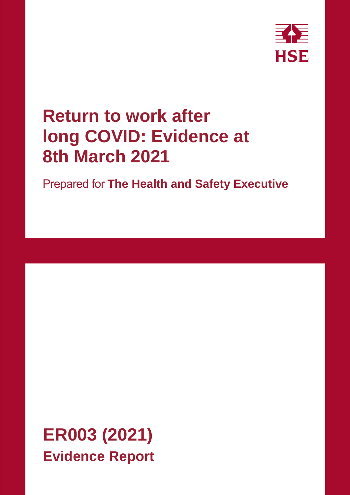

# **Return to work after long COVID: Evidence at 8th March 2021**

Prepared for **The Health and Safety Executive**

**ER003 (2021) Evidence Report**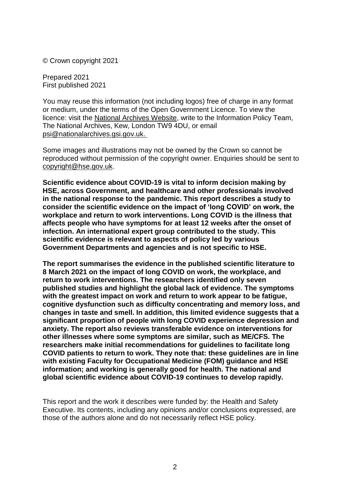© Crown copyright 2021

Prepared 2021 First published 2021

You may reuse this information (not including logos) free of charge in any format or medium, under the terms of the Open Government Licence. To view the licence: visit the [National Archives Website,](http://www.nationalarchives.gov.uk/doc/open-government-licence/) write to the Information Policy Team, The National Archives, Kew, London TW9 4DU, or email [psi@nationalarchives.gsi.gov.uk.](mailto:psi@nationalarchives.gsi.gov.uk)

Some images and illustrations may not be owned by the Crown so cannot be reproduced without permission of the copyright owner. Enquiries should be sent to [copyright@hse.gov.uk.](mailto:copyright@hse.gsi.gov.uk)

**Scientific evidence about COVID-19 is vital to inform decision making by HSE, across Government, and healthcare and other professionals involved in the national response to the pandemic. This report describes a study to consider the scientific evidence on the impact of 'long COVID' on work, the workplace and return to work interventions. Long COVID is the illness that affects people who have symptoms for at least 12 weeks after the onset of infection. An international expert group contributed to the study. This scientific evidence is relevant to aspects of policy led by various Government Departments and agencies and is not specific to HSE.**

**The report summarises the evidence in the published scientific literature to 8 March 2021 on the impact of long COVID on work, the workplace, and return to work interventions. The researchers identified only seven published studies and highlight the global lack of evidence. The symptoms with the greatest impact on work and return to work appear to be fatigue, cognitive dysfunction such as difficulty concentrating and memory loss, and changes in taste and smell. In addition, this limited evidence suggests that a significant proportion of people with long COVID experience depression and anxiety. The report also reviews transferable evidence on interventions for other illnesses where some symptoms are similar, such as ME/CFS. The researchers make initial recommendations for guidelines to facilitate long COVID patients to return to work. They note that: these guidelines are in line with existing Faculty for Occupational Medicine (FOM) guidance and HSE information; and working is generally good for health. The national and global scientific evidence about COVID-19 continues to develop rapidly.**

This report and the work it describes were funded by: the Health and Safety Executive. Its contents, including any opinions and/or conclusions expressed, are those of the authors alone and do not necessarily reflect HSE policy.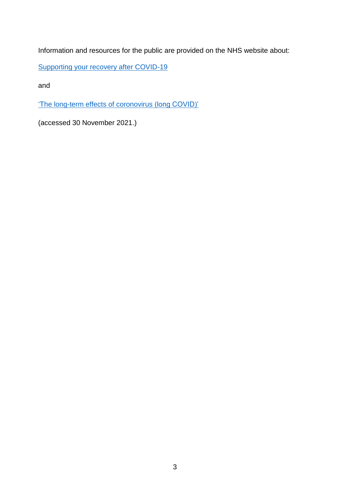Information and resources for the public are provided on the NHS website about:

[Supporting your recovery after COVID-19](https://eur03.safelinks.protection.outlook.com/?url=https%3A%2F%2Fwww.yourcovidrecovery.nhs.uk%2F&data=04%7C01%7CMary.Trainor%40hse.gov.uk%7C3d0344d2dd3a4ae34aff08d9aa8e0037%7C6b5953be6b1d4980b26b56ed8b0bf3dc%7C0%7C0%7C637728349135268372%7CUnknown%7CTWFpbGZsb3d8eyJWIjoiMC4wLjAwMDAiLCJQIjoiV2luMzIiLCJBTiI6Ik1haWwiLCJXVCI6Mn0%3D%7C3000&sdata=XmF8DXV1PL71fq4QkhM91cszPevuyeLrAu2qq3wJaY8%3D&reserved=0)

and

['The long-term effects of coronovirus](https://www.nhs.uk/conditions/coronavirus-covid-19/long-term-effects-of-coronavirus-long-covid/) (long COVID)'

(accessed 30 November 2021.)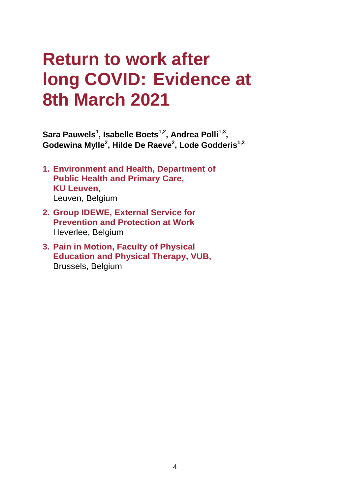# **Return to work after long COVID: Evidence at 8th March 2021**

**Sara Pauwels<sup>1</sup> , Isabelle Boets1,2 , Andrea Polli1,3 , Godewina Mylle<sup>2</sup> , Hilde De Raeve<sup>2</sup> , Lode Godderis1,2**

- **1. Environment and Health, Department of Public Health and Primary Care, KU Leuven,** Leuven, Belgium
- **2. Group IDEWE, External Service for Prevention and Protection at Work**  Heverlee, Belgium
- **3. Pain in Motion, Faculty of Physical Education and Physical Therapy, VUB,** Brussels, Belgium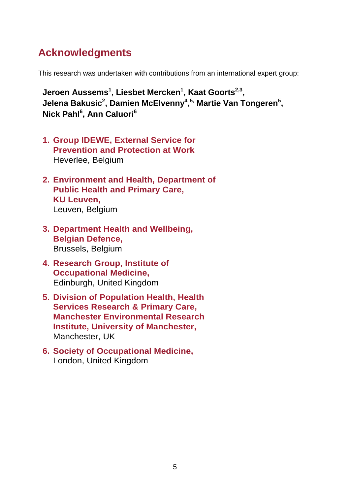# **Acknowledgments**

This research was undertaken with contributions from an international expert group:

**Jeroen Aussems<sup>1</sup> , Liesbet Mercken<sup>1</sup> , Kaat Goorts2,3 , Jelena Bakusic<sup>2</sup> , Damien McElvenny<sup>4</sup> , 5, Martie Van Tongeren<sup>5</sup> , Nick Pahl<sup>6</sup> , Ann Caluori<sup>6</sup>**

- **1. Group IDEWE, External Service for Prevention and Protection at Work**  Heverlee, Belgium
- **2. Environment and Health, Department of Public Health and Primary Care, KU Leuven,** Leuven, Belgium
- **3. Department Health and Wellbeing, Belgian Defence,** Brussels, Belgium
- **4. Research Group, Institute of Occupational Medicine,**  Edinburgh, United Kingdom
- **5. Division of Population Health, Health Services Research & Primary Care, Manchester Environmental Research Institute, University of Manchester,** Manchester, UK
- **6. Society of Occupational Medicine,** London, United Kingdom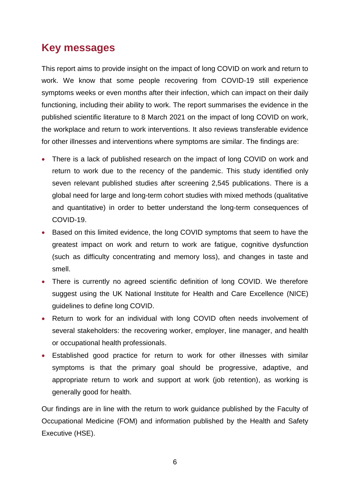# <span id="page-5-0"></span>**Key messages**

This report aims to provide insight on the impact of long COVID on work and return to work. We know that some people recovering from COVID-19 still experience symptoms weeks or even months after their infection, which can impact on their daily functioning, including their ability to work. The report summarises the evidence in the published scientific literature to 8 March 2021 on the impact of long COVID on work, the workplace and return to work interventions. It also reviews transferable evidence for other illnesses and interventions where symptoms are similar. The findings are:

- There is a lack of published research on the impact of long COVID on work and return to work due to the recency of the pandemic. This study identified only seven relevant published studies after screening 2,545 publications. There is a global need for large and long-term cohort studies with mixed methods (qualitative and quantitative) in order to better understand the long-term consequences of COVID-19.
- Based on this limited evidence, the long COVID symptoms that seem to have the greatest impact on work and return to work are fatigue, cognitive dysfunction (such as difficulty concentrating and memory loss), and changes in taste and smell.
- There is currently no agreed scientific definition of long COVID. We therefore suggest using the UK National Institute for Health and Care Excellence (NICE) guidelines to define long COVID.
- Return to work for an individual with long COVID often needs involvement of several stakeholders: the recovering worker, employer, line manager, and health or occupational health professionals.
- Established good practice for return to work for other illnesses with similar symptoms is that the primary goal should be progressive, adaptive, and appropriate return to work and support at work (job retention), as working is generally good for health.

Our findings are in line with the return to work guidance published by the Faculty of Occupational Medicine (FOM) and information published by the Health and Safety Executive (HSE).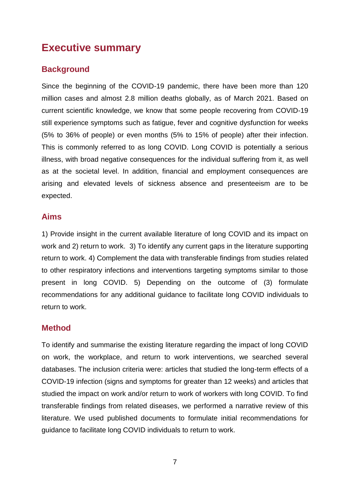# <span id="page-6-0"></span>**Executive summary**

### **Background**

Since the beginning of the COVID-19 pandemic, there have been more than 120 million cases and almost 2.8 million deaths globally, as of March 2021. Based on current scientific knowledge, we know that some people recovering from COVID-19 still experience symptoms such as fatigue, fever and cognitive dysfunction for weeks (5% to 36% of people) or even months (5% to 15% of people) after their infection. This is commonly referred to as long COVID. Long COVID is potentially a serious illness, with broad negative consequences for the individual suffering from it, as well as at the societal level. In addition, financial and employment consequences are arising and elevated levels of sickness absence and presenteeism are to be expected.

### **Aims**

1) Provide insight in the current available literature of long COVID and its impact on work and 2) return to work. 3) To identify any current gaps in the literature supporting return to work. 4) Complement the data with transferable findings from studies related to other respiratory infections and interventions targeting symptoms similar to those present in long COVID. 5) Depending on the outcome of (3) formulate recommendations for any additional guidance to facilitate long COVID individuals to return to work.

### **Method**

To identify and summarise the existing literature regarding the impact of long COVID on work, the workplace, and return to work interventions, we searched several databases. The inclusion criteria were: articles that studied the long-term effects of a COVID-19 infection (signs and symptoms for greater than 12 weeks) and articles that studied the impact on work and/or return to work of workers with long COVID. To find transferable findings from related diseases, we performed a narrative review of this literature. We used published documents to formulate initial recommendations for guidance to facilitate long COVID individuals to return to work.

7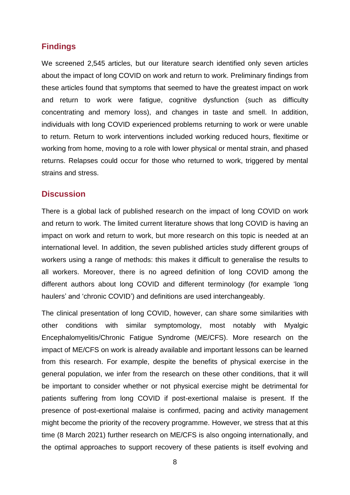### **Findings**

We screened 2,545 articles, but our literature search identified only seven articles about the impact of long COVID on work and return to work. Preliminary findings from these articles found that symptoms that seemed to have the greatest impact on work and return to work were fatigue, cognitive dysfunction (such as difficulty concentrating and memory loss), and changes in taste and smell. In addition, individuals with long COVID experienced problems returning to work or were unable to return. Return to work interventions included working reduced hours, flexitime or working from home, moving to a role with lower physical or mental strain, and phased returns. Relapses could occur for those who returned to work, triggered by mental strains and stress.

#### **Discussion**

There is a global lack of published research on the impact of long COVID on work and return to work. The limited current literature shows that long COVID is having an impact on work and return to work, but more research on this topic is needed at an international level. In addition, the seven published articles study different groups of workers using a range of methods: this makes it difficult to generalise the results to all workers. Moreover, there is no agreed definition of long COVID among the different authors about long COVID and different terminology (for example 'long haulers' and 'chronic COVID') and definitions are used interchangeably.

The clinical presentation of long COVID, however, can share some similarities with other conditions with similar symptomology, most notably with Myalgic Encephalomyelitis/Chronic Fatigue Syndrome (ME/CFS). More research on the impact of ME/CFS on work is already available and important lessons can be learned from this research. For example, despite the benefits of physical exercise in the general population, we infer from the research on these other conditions, that it will be important to consider whether or not physical exercise might be detrimental for patients suffering from long COVID if post-exertional malaise is present. If the presence of post-exertional malaise is confirmed, pacing and activity management might become the priority of the recovery programme. However, we stress that at this time (8 March 2021) further research on ME/CFS is also ongoing internationally, and the optimal approaches to support recovery of these patients is itself evolving and

8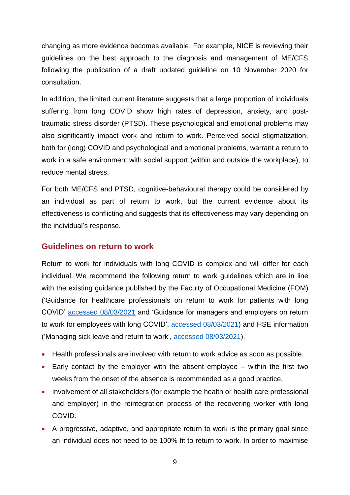changing as more evidence becomes available. For example, NICE is reviewing their guidelines on the best approach to the diagnosis and management of ME/CFS following the publication of a draft updated guideline on 10 November 2020 for consultation.

In addition, the limited current literature suggests that a large proportion of individuals suffering from long COVID show high rates of depression, anxiety, and posttraumatic stress disorder (PTSD). These psychological and emotional problems may also significantly impact work and return to work. Perceived social stigmatization, both for (long) COVID and psychological and emotional problems, warrant a return to work in a safe environment with social support (within and outside the workplace), to reduce mental stress.

For both ME/CFS and PTSD, cognitive-behavioural therapy could be considered by an individual as part of return to work, but the current evidence about its effectiveness is conflicting and suggests that its effectiveness may vary depending on the individual's response.

#### **Guidelines on return to work**

Return to work for individuals with long COVID is complex and will differ for each individual. We recommend the following return to work guidelines which are in line with the existing guidance published by the Faculty of Occupational Medicine (FOM) ('Guidance for healthcare professionals on return to work for patients with long COVID' [accessed 08/03/2021](https://www.fom.ac.uk/media-events/publications/fom-guidance) and 'Guidance for managers and employers on return to work for employees with long COVID', [accessed 08/03/2021\)](https://www.fom.ac.uk/media-events/publications/fom-guidance) and HSE information ('Managing sick leave and return to work', [accessed 08/03/2021\)](https://www.hse.gov.uk/sicknessabsence/).

- Health professionals are involved with return to work advice as soon as possible.
- Early contact by the employer with the absent employee within the first two weeks from the onset of the absence is recommended as a good practice.
- Involvement of all stakeholders (for example the health or health care professional and employer) in the reintegration process of the recovering worker with long COVID.
- A progressive, adaptive, and appropriate return to work is the primary goal since an individual does not need to be 100% fit to return to work. In order to maximise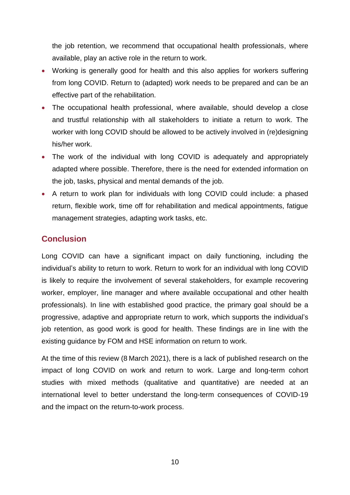the job retention, we recommend that occupational health professionals, where available, play an active role in the return to work.

- Working is generally good for health and this also applies for workers suffering from long COVID. Return to (adapted) work needs to be prepared and can be an effective part of the rehabilitation.
- The occupational health professional, where available, should develop a close and trustful relationship with all stakeholders to initiate a return to work. The worker with long COVID should be allowed to be actively involved in (re)designing his/her work.
- The work of the individual with long COVID is adequately and appropriately adapted where possible. Therefore, there is the need for extended information on the job, tasks, physical and mental demands of the job.
- A return to work plan for individuals with long COVID could include: a phased return, flexible work, time off for rehabilitation and medical appointments, fatigue management strategies, adapting work tasks, etc.

### **Conclusion**

Long COVID can have a significant impact on daily functioning, including the individual's ability to return to work. Return to work for an individual with long COVID is likely to require the involvement of several stakeholders, for example recovering worker, employer, line manager and where available occupational and other health professionals). In line with established good practice, the primary goal should be a progressive, adaptive and appropriate return to work, which supports the individual's job retention, as good work is good for health. These findings are in line with the existing guidance by FOM and HSE information on return to work.

At the time of this review (8 March 2021), there is a lack of published research on the impact of long COVID on work and return to work. Large and long-term cohort studies with mixed methods (qualitative and quantitative) are needed at an international level to better understand the long-term consequences of COVID-19 and the impact on the return-to-work process.

10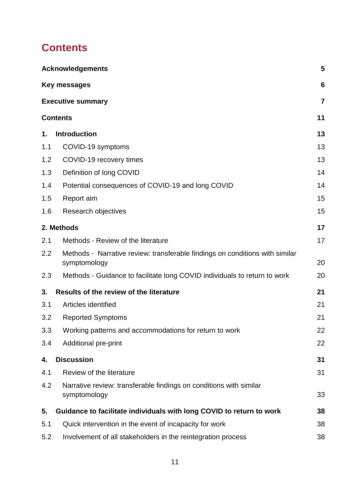# <span id="page-10-0"></span>**Contents**

|     | <b>Acknowledgements</b>                                                                      | 5              |
|-----|----------------------------------------------------------------------------------------------|----------------|
|     | Key messages                                                                                 | 6              |
|     | <b>Executive summary</b>                                                                     | $\overline{7}$ |
|     | <b>Contents</b>                                                                              | 11             |
| 1.  | <b>Introduction</b>                                                                          | 13             |
| 1.1 | COVID-19 symptoms                                                                            | 13             |
| 1.2 | COVID-19 recovery times                                                                      | 13             |
| 1.3 | Definition of long COVID                                                                     | 14             |
| 1.4 | Potential consequences of COVID-19 and long COVID                                            | 14             |
| 1.5 | Report aim                                                                                   | 15             |
| 1.6 | Research objectives                                                                          | 15             |
|     | 2. Methods                                                                                   | 17             |
| 2.1 | Methods - Review of the literature                                                           | 17             |
| 2.2 | Methods - Narrative review: transferable findings on conditions with similar<br>symptomology | 20             |
| 2.3 | Methods - Guidance to facilitate long COVID individuals to return to work                    | 20             |
| 3.  | Results of the review of the literature                                                      | 21             |
| 3.1 | Articles identified                                                                          | 21             |
| 3.2 | <b>Reported Symptoms</b>                                                                     | 21             |
| 3.3 | Working patterns and accommodations for return to work                                       | 22             |
| 3.4 | Additional pre-print                                                                         | 22             |
| 4.  | <b>Discussion</b>                                                                            | 31             |
| 4.1 | Review of the literature                                                                     | 31             |
| 4.2 | Narrative review: transferable findings on conditions with similar<br>symptomology           | 33             |
| 5.  | Guidance to facilitate individuals with long COVID to return to work                         | 38             |
| 5.1 | Quick intervention in the event of incapacity for work                                       | 38             |
| 5.2 | Involvement of all stakeholders in the reintegration process                                 | 38             |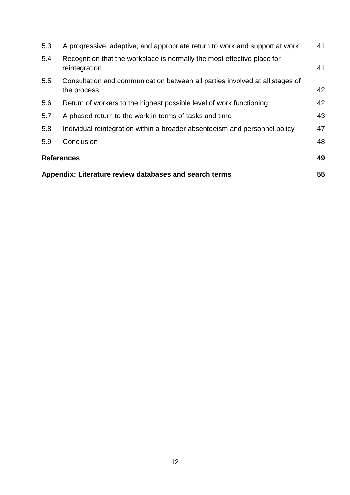|     | Appendix: Literature review databases and search terms                                      |    |  |  |
|-----|---------------------------------------------------------------------------------------------|----|--|--|
|     | <b>References</b>                                                                           | 49 |  |  |
| 5.9 | Conclusion                                                                                  | 48 |  |  |
| 5.8 | Individual reintegration within a broader absenteeism and personnel policy                  | 47 |  |  |
| 5.7 | A phased return to the work in terms of tasks and time                                      | 43 |  |  |
| 5.6 | Return of workers to the highest possible level of work functioning                         | 42 |  |  |
| 5.5 | Consultation and communication between all parties involved at all stages of<br>the process | 42 |  |  |
| 5.4 | Recognition that the workplace is normally the most effective place for<br>reintegration    | 41 |  |  |
| 5.3 | A progressive, adaptive, and appropriate return to work and support at work                 | 41 |  |  |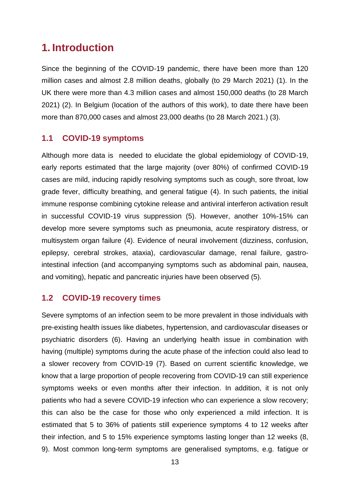## <span id="page-12-0"></span>**1. Introduction**

Since the beginning of the COVID-19 pandemic, there have been more than 120 million cases and almost 2.8 million deaths, globally (to 29 March 2021) (1). In the UK there were more than 4.3 million cases and almost 150,000 deaths (to 28 March 2021) (2). In Belgium (location of the authors of this work), to date there have been more than 870,000 cases and almost 23,000 deaths (to 28 March 2021.) (3).

### <span id="page-12-1"></span>**1.1 COVID-19 symptoms**

Although more data is needed to elucidate the global epidemiology of COVID-19, early reports estimated that the large majority (over 80%) of confirmed COVID-19 cases are mild, inducing rapidly resolving symptoms such as cough, sore throat, low grade fever, difficulty breathing, and general fatigue (4). In such patients, the initial immune response combining cytokine release and antiviral interferon activation result in successful COVID-19 virus suppression (5). However, another 10%-15% can develop more severe symptoms such as pneumonia, acute respiratory distress, or multisystem organ failure (4). Evidence of neural involvement (dizziness, confusion, epilepsy, cerebral strokes, ataxia), cardiovascular damage, renal failure, gastrointestinal infection (and accompanying symptoms such as abdominal pain, nausea, and vomiting), hepatic and pancreatic injuries have been observed (5).

#### <span id="page-12-2"></span>**1.2 COVID-19 recovery times**

Severe symptoms of an infection seem to be more prevalent in those individuals with pre-existing health issues like diabetes, hypertension, and cardiovascular diseases or psychiatric disorders (6). Having an underlying health issue in combination with having (multiple) symptoms during the acute phase of the infection could also lead to a slower recovery from COVID-19 (7). Based on current scientific knowledge, we know that a large proportion of people recovering from COVID-19 can still experience symptoms weeks or even months after their infection. In addition, it is not only patients who had a severe COVID-19 infection who can experience a slow recovery; this can also be the case for those who only experienced a mild infection. It is estimated that 5 to 36% of patients still experience symptoms 4 to 12 weeks after their infection, and 5 to 15% experience symptoms lasting longer than 12 weeks (8, 9). Most common long-term symptoms are generalised symptoms, e.g. fatigue or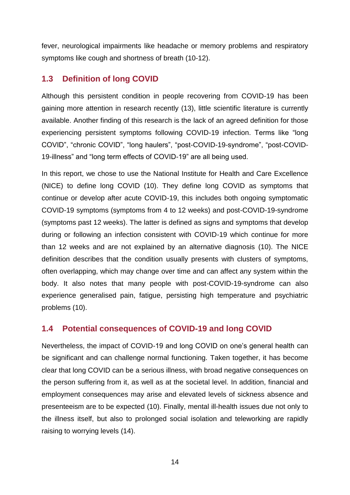fever, neurological impairments like headache or memory problems and respiratory symptoms like cough and shortness of breath (10-12).

### <span id="page-13-0"></span>**1.3 Definition of long COVID**

Although this persistent condition in people recovering from COVID-19 has been gaining more attention in research recently (13), little scientific literature is currently available. Another finding of this research is the lack of an agreed definition for those experiencing persistent symptoms following COVID-19 infection. Terms like "long COVID", "chronic COVID", "long haulers", "post-COVID-19-syndrome", "post-COVID-19-illness" and "long term effects of COVID-19" are all being used.

In this report, we chose to use the National Institute for Health and Care Excellence (NICE) to define long COVID (10). They define long COVID as symptoms that continue or develop after acute COVID-19, this includes both ongoing symptomatic COVID-19 symptoms (symptoms from 4 to 12 weeks) and post-COVID-19-syndrome (symptoms past 12 weeks). The latter is defined as signs and symptoms that develop during or following an infection consistent with COVID-19 which continue for more than 12 weeks and are not explained by an alternative diagnosis (10). The NICE definition describes that the condition usually presents with clusters of symptoms, often overlapping, which may change over time and can affect any system within the body. It also notes that many people with post-COVID-19-syndrome can also experience generalised pain, fatigue, persisting high temperature and psychiatric problems (10).

### <span id="page-13-1"></span>**1.4 Potential consequences of COVID-19 and long COVID**

Nevertheless, the impact of COVID-19 and long COVID on one's general health can be significant and can challenge normal functioning. Taken together, it has become clear that long COVID can be a serious illness, with broad negative consequences on the person suffering from it, as well as at the societal level. In addition, financial and employment consequences may arise and elevated levels of sickness absence and presenteeism are to be expected (10). Finally, mental ill-health issues due not only to the illness itself, but also to prolonged social isolation and teleworking are rapidly raising to worrying levels (14).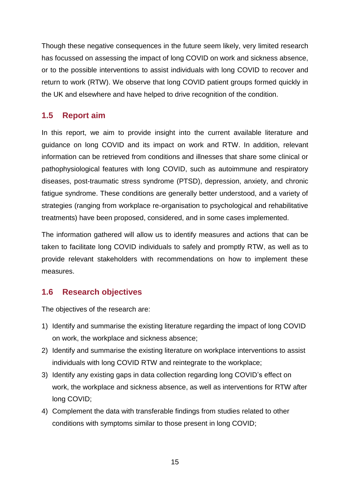Though these negative consequences in the future seem likely, very limited research has focussed on assessing the impact of long COVID on work and sickness absence, or to the possible interventions to assist individuals with long COVID to recover and return to work (RTW). We observe that long COVID patient groups formed quickly in the UK and elsewhere and have helped to drive recognition of the condition.

### <span id="page-14-0"></span>**1.5 Report aim**

In this report, we aim to provide insight into the current available literature and guidance on long COVID and its impact on work and RTW. In addition, relevant information can be retrieved from conditions and illnesses that share some clinical or pathophysiological features with long COVID, such as autoimmune and respiratory diseases, post-traumatic stress syndrome (PTSD), depression, anxiety, and chronic fatigue syndrome. These conditions are generally better understood, and a variety of strategies (ranging from workplace re-organisation to psychological and rehabilitative treatments) have been proposed, considered, and in some cases implemented.

The information gathered will allow us to identify measures and actions that can be taken to facilitate long COVID individuals to safely and promptly RTW, as well as to provide relevant stakeholders with recommendations on how to implement these measures.

### <span id="page-14-1"></span>**1.6 Research objectives**

The objectives of the research are:

- 1) Identify and summarise the existing literature regarding the impact of long COVID on work, the workplace and sickness absence;
- 2) Identify and summarise the existing literature on workplace interventions to assist individuals with long COVID RTW and reintegrate to the workplace;
- 3) Identify any existing gaps in data collection regarding long COVID's effect on work, the workplace and sickness absence, as well as interventions for RTW after long COVID;
- 4) Complement the data with transferable findings from studies related to other conditions with symptoms similar to those present in long COVID;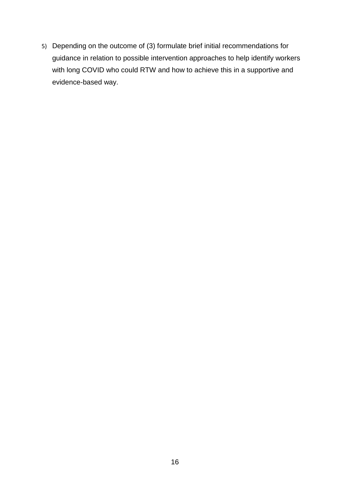5) Depending on the outcome of (3) formulate brief initial recommendations for guidance in relation to possible intervention approaches to help identify workers with long COVID who could RTW and how to achieve this in a supportive and evidence-based way.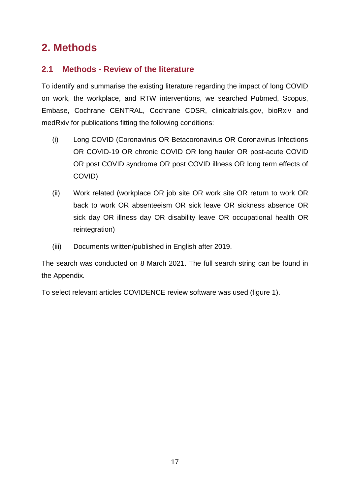# <span id="page-16-0"></span>**2. Methods**

### <span id="page-16-1"></span>**2.1 Methods - Review of the literature**

To identify and summarise the existing literature regarding the impact of long COVID on work, the workplace, and RTW interventions, we searched Pubmed, Scopus, Embase, Cochrane CENTRAL, Cochrane CDSR, clinicaltrials.gov, bioRxiv and medRxiv for publications fitting the following conditions:

- (i) Long COVID (Coronavirus OR Betacoronavirus OR Coronavirus Infections OR COVID-19 OR chronic COVID OR long hauler OR post-acute COVID OR post COVID syndrome OR post COVID illness OR long term effects of COVID)
- (ii) Work related (workplace OR job site OR work site OR return to work OR back to work OR absenteeism OR sick leave OR sickness absence OR sick day OR illness day OR disability leave OR occupational health OR reintegration)
- (iii) Documents written/published in English after 2019.

The search was conducted on 8 March 2021. The full search string can be found in the Appendix.

To select relevant articles COVIDENCE review software was used (figure 1).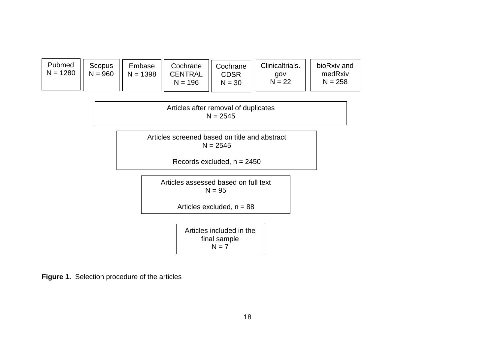| Pubmed<br>$N = 1280$ | <b>Scopus</b><br>$N = 960$ | Embase<br>$N = 1398$ | Cochrane<br><b>CENTRAL</b><br>$N = 196$ | Cochrane<br>CDSR<br>$N = 30$ | Clinicaltrials.<br>aov<br>$N = 22$ | bioRxiv and<br>medRxiv<br>$N = 258$ |
|----------------------|----------------------------|----------------------|-----------------------------------------|------------------------------|------------------------------------|-------------------------------------|
|----------------------|----------------------------|----------------------|-----------------------------------------|------------------------------|------------------------------------|-------------------------------------|

Articles after removal of duplicates  $N = 2545$ 

Articles screened based on title and abstract  $N = 2545$ 

Records excluded,  $n = 2450$ 

Articles assessed based on full text  $N = 95$ 

Articles excluded,  $n = 88$ 

Articles included in the final sample  $N = 7$ 

**Figure 1.** Selection procedure of the articles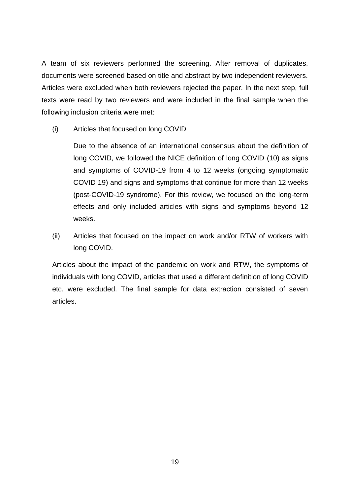A team of six reviewers performed the screening. After removal of duplicates, documents were screened based on title and abstract by two independent reviewers. Articles were excluded when both reviewers rejected the paper. In the next step, full texts were read by two reviewers and were included in the final sample when the following inclusion criteria were met:

(i) Articles that focused on long COVID

Due to the absence of an international consensus about the definition of long COVID, we followed the NICE definition of long COVID (10) as signs and symptoms of COVID-19 from 4 to 12 weeks (ongoing symptomatic COVID 19) and signs and symptoms that continue for more than 12 weeks (post-COVID-19 syndrome). For this review, we focused on the long-term effects and only included articles with signs and symptoms beyond 12 weeks.

(ii) Articles that focused on the impact on work and/or RTW of workers with long COVID.

Articles about the impact of the pandemic on work and RTW, the symptoms of individuals with long COVID, articles that used a different definition of long COVID etc. were excluded. The final sample for data extraction consisted of seven articles.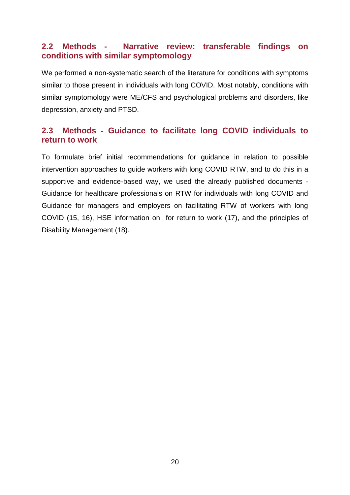### <span id="page-19-0"></span>**2.2 Methods - Narrative review: transferable findings on conditions with similar symptomology**

We performed a non-systematic search of the literature for conditions with symptoms similar to those present in individuals with long COVID. Most notably, conditions with similar symptomology were ME/CFS and psychological problems and disorders, like depression, anxiety and PTSD.

### <span id="page-19-1"></span>**2.3 Methods - Guidance to facilitate long COVID individuals to return to work**

To formulate brief initial recommendations for guidance in relation to possible intervention approaches to guide workers with long COVID RTW, and to do this in a supportive and evidence-based way, we used the already published documents - Guidance for healthcare professionals on RTW for individuals with long COVID and Guidance for managers and employers on facilitating RTW of workers with long COVID (15, 16), HSE information on for return to work (17), and the principles of Disability Management (18).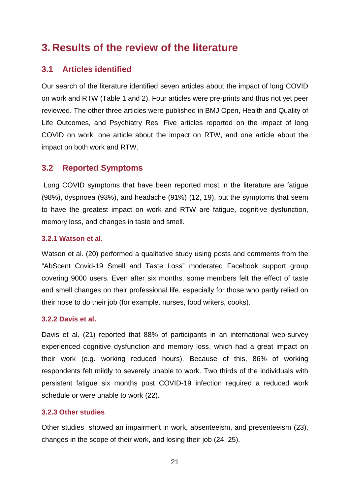# <span id="page-20-0"></span>**3. Results of the review of the literature**

### <span id="page-20-1"></span>**3.1 Articles identified**

Our search of the literature identified seven articles about the impact of long COVID on work and RTW (Table 1 and 2). Four articles were pre-prints and thus not yet peer reviewed. The other three articles were published in BMJ Open, Health and Quality of Life Outcomes, and Psychiatry Res. Five articles reported on the impact of long COVID on work, one article about the impact on RTW, and one article about the impact on both work and RTW.

### <span id="page-20-2"></span>**3.2 Reported Symptoms**

Long COVID symptoms that have been reported most in the literature are fatigue (98%), dyspnoea (93%), and headache (91%) (12, 19), but the symptoms that seem to have the greatest impact on work and RTW are fatigue, cognitive dysfunction, memory loss, and changes in taste and smell.

### **3.2.1 Watson et al.**

Watson et al. (20) performed a qualitative study using posts and comments from the "AbScent Covid-19 Smell and Taste Loss" moderated Facebook support group covering 9000 users. Even after six months, some members felt the effect of taste and smell changes on their professional life, especially for those who partly relied on their nose to do their job (for example. nurses, food writers, cooks).

#### **3.2.2 Davis et al.**

Davis et al. (21) reported that 88% of participants in an international web-survey experienced cognitive dysfunction and memory loss, which had a great impact on their work (e.g. working reduced hours). Because of this, 86% of working respondents felt mildly to severely unable to work. Two thirds of the individuals with persistent fatigue six months post COVID-19 infection required a reduced work schedule or were unable to work (22).

#### **3.2.3 Other studies**

Other studies showed an impairment in work, absenteeism, and presenteeism (23), changes in the scope of their work, and losing their job (24, 25).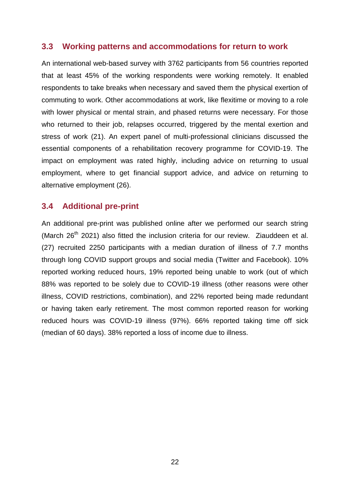### <span id="page-21-0"></span>**3.3 Working patterns and accommodations for return to work**

An international web-based survey with 3762 participants from 56 countries reported that at least 45% of the working respondents were working remotely. It enabled respondents to take breaks when necessary and saved them the physical exertion of commuting to work. Other accommodations at work, like flexitime or moving to a role with lower physical or mental strain, and phased returns were necessary. For those who returned to their job, relapses occurred, triggered by the mental exertion and stress of work (21). An expert panel of multi-professional clinicians discussed the essential components of a rehabilitation recovery programme for COVID-19. The impact on employment was rated highly, including advice on returning to usual employment, where to get financial support advice, and advice on returning to alternative employment (26).

### <span id="page-21-1"></span>**3.4 Additional pre-print**

An additional pre-print was published online after we performed our search string (March  $26<sup>th</sup>$  2021) also fitted the inclusion criteria for our review. Ziauddeen et al. (27) recruited 2250 participants with a median duration of illness of 7.7 months through long COVID support groups and social media (Twitter and Facebook). 10% reported working reduced hours, 19% reported being unable to work (out of which 88% was reported to be solely due to COVID-19 illness (other reasons were other illness, COVID restrictions, combination), and 22% reported being made redundant or having taken early retirement. The most common reported reason for working reduced hours was COVID-19 illness (97%). 66% reported taking time off sick (median of 60 days). 38% reported a loss of income due to illness.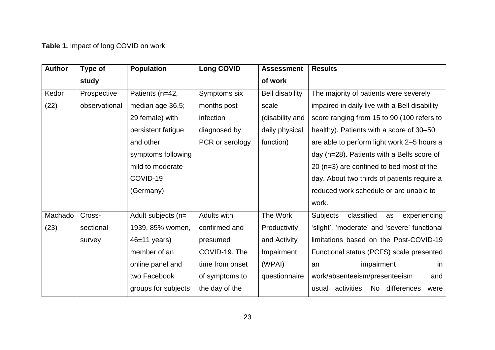# **Table 1.** Impact of long COVID on work

| <b>Author</b> | Type of       | <b>Population</b>   | <b>Long COVID</b> | <b>Assessment</b>      | <b>Results</b>                                      |
|---------------|---------------|---------------------|-------------------|------------------------|-----------------------------------------------------|
|               | study         |                     |                   | of work                |                                                     |
| Kedor         | Prospective   | Patients (n=42,     | Symptoms six      | <b>Bell disability</b> | The majority of patients were severely              |
| (22)          | observational | median age 36,5;    | months post       | scale                  | impaired in daily live with a Bell disability       |
|               |               | 29 female) with     | infection         | (disability and        | score ranging from 15 to 90 (100 refers to          |
|               |               | persistent fatigue  | diagnosed by      | daily physical         | healthy). Patients with a score of 30–50            |
|               |               | and other           | PCR or serology   | function)              | are able to perform light work 2-5 hours a          |
|               |               | symptoms following  |                   |                        | day (n=28). Patients with a Bells score of          |
|               |               | mild to moderate    |                   |                        | 20 (n=3) are confined to bed most of the            |
|               |               | COVID-19            |                   |                        | day. About two thirds of patients require a         |
|               |               | (Germany)           |                   |                        | reduced work schedule or are unable to              |
|               |               |                     |                   |                        | work.                                               |
| Machado       | Cross-        | Adult subjects (n=  | Adults with       | The Work               | <b>Subjects</b><br>classified<br>experiencing<br>as |
| (23)          | sectional     | 1939, 85% women,    | confirmed and     | Productivity           | 'slight', 'moderate' and 'severe' functional        |
|               | survey        | $46±11$ years)      | presumed          | and Activity           | limitations based on the Post-COVID-19              |
|               |               | member of an        | COVID-19. The     | Impairment             | Functional status (PCFS) scale presented            |
|               |               | online panel and    | time from onset   | (WPAI)                 | impairment<br>an<br>in                              |
|               |               | two Facebook        | of symptoms to    | questionnaire          | work/absenteeism/presenteeism<br>and                |
|               |               | groups for subjects | the day of the    |                        | activities.<br>No differences<br>usual<br>were      |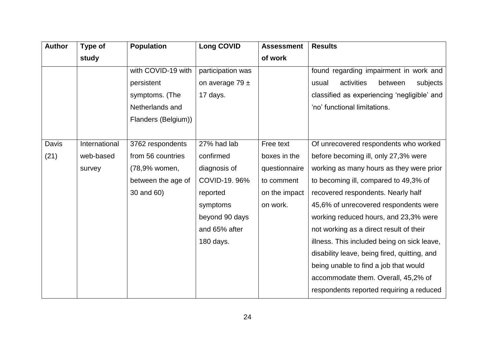| <b>Author</b> | Type of       | <b>Population</b>   | <b>Long COVID</b>   | <b>Assessment</b> | <b>Results</b>                               |
|---------------|---------------|---------------------|---------------------|-------------------|----------------------------------------------|
|               | study         |                     |                     | of work           |                                              |
|               |               | with COVID-19 with  | participation was   |                   | found regarding impairment in work and       |
|               |               | persistent          | on average $79 \pm$ |                   | activities<br>between<br>subjects<br>usual   |
|               |               | symptoms. (The      | 17 days.            |                   | classified as experiencing 'negligible' and  |
|               |               | Netherlands and     |                     |                   | 'no' functional limitations.                 |
|               |               | Flanders (Belgium)) |                     |                   |                                              |
|               |               |                     |                     |                   |                                              |
| Davis         | International | 3762 respondents    | 27% had lab         | Free text         | Of unrecovered respondents who worked        |
| (21)          | web-based     | from 56 countries   | confirmed           | boxes in the      | before becoming ill, only 27,3% were         |
|               | survey        | (78,9% women,       | diagnosis of        | questionnaire     | working as many hours as they were prior     |
|               |               | between the age of  | COVID-19.96%        | to comment        | to becoming ill, compared to 49,3% of        |
|               |               | 30 and 60)          | reported            | on the impact     | recovered respondents. Nearly half           |
|               |               |                     | symptoms            | on work.          | 45,6% of unrecovered respondents were        |
|               |               |                     | beyond 90 days      |                   | working reduced hours, and 23,3% were        |
|               |               |                     | and 65% after       |                   | not working as a direct result of their      |
|               |               |                     | 180 days.           |                   | illness. This included being on sick leave,  |
|               |               |                     |                     |                   | disability leave, being fired, quitting, and |
|               |               |                     |                     |                   | being unable to find a job that would        |
|               |               |                     |                     |                   | accommodate them. Overall, 45,2% of          |
|               |               |                     |                     |                   | respondents reported requiring a reduced     |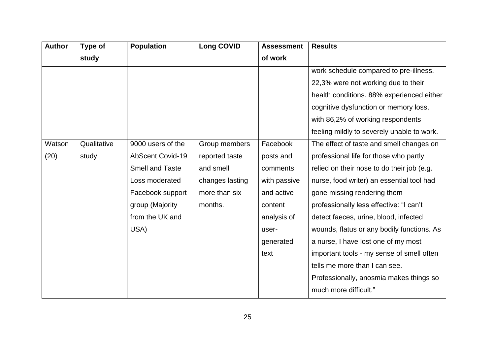| <b>Author</b> | Type of     | <b>Population</b>       | <b>Long COVID</b> | <b>Assessment</b> | <b>Results</b>                             |
|---------------|-------------|-------------------------|-------------------|-------------------|--------------------------------------------|
|               | study       |                         |                   | of work           |                                            |
|               |             |                         |                   |                   | work schedule compared to pre-illness.     |
|               |             |                         |                   |                   | 22,3% were not working due to their        |
|               |             |                         |                   |                   | health conditions. 88% experienced either  |
|               |             |                         |                   |                   | cognitive dysfunction or memory loss,      |
|               |             |                         |                   |                   | with 86,2% of working respondents          |
|               |             |                         |                   |                   | feeling mildly to severely unable to work. |
| Watson        | Qualitative | 9000 users of the       | Group members     | Facebook          | The effect of taste and smell changes on   |
| (20)          | study       | <b>AbScent Covid-19</b> | reported taste    | posts and         | professional life for those who partly     |
|               |             | <b>Smell and Taste</b>  | and smell         | comments          | relied on their nose to do their job (e.g. |
|               |             | Loss moderated          | changes lasting   | with passive      | nurse, food writer) an essential tool had  |
|               |             | Facebook support        | more than six     | and active        | gone missing rendering them                |
|               |             | group (Majority         | months.           | content           | professionally less effective: "I can't    |
|               |             | from the UK and         |                   | analysis of       | detect faeces, urine, blood, infected      |
|               |             | USA)                    |                   | user-             | wounds, flatus or any bodily functions. As |
|               |             |                         |                   | generated         | a nurse, I have lost one of my most        |
|               |             |                         |                   | text              | important tools - my sense of smell often  |
|               |             |                         |                   |                   | tells me more than I can see.              |
|               |             |                         |                   |                   | Professionally, anosmia makes things so    |
|               |             |                         |                   |                   | much more difficult."                      |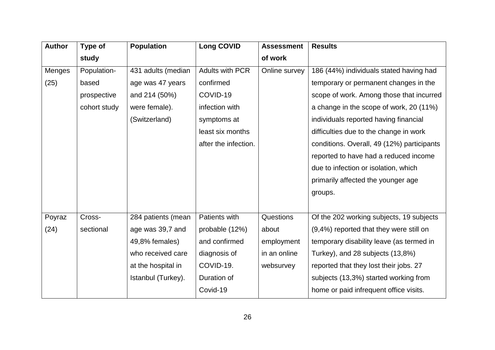| <b>Author</b> | Type of      | <b>Population</b>  | <b>Long COVID</b>      | <b>Assessment</b> | <b>Results</b>                             |
|---------------|--------------|--------------------|------------------------|-------------------|--------------------------------------------|
|               | study        |                    |                        | of work           |                                            |
| Menges        | Population-  | 431 adults (median | <b>Adults with PCR</b> | Online survey     | 186 (44%) individuals stated having had    |
| (25)          | based        | age was 47 years   | confirmed              |                   | temporary or permanent changes in the      |
|               | prospective  | and 214 (50%)      | COVID-19               |                   | scope of work. Among those that incurred   |
|               | cohort study | were female).      | infection with         |                   | a change in the scope of work, 20 (11%)    |
|               |              | (Switzerland)      | symptoms at            |                   | individuals reported having financial      |
|               |              |                    | least six months       |                   | difficulties due to the change in work     |
|               |              |                    | after the infection.   |                   | conditions. Overall, 49 (12%) participants |
|               |              |                    |                        |                   | reported to have had a reduced income      |
|               |              |                    |                        |                   | due to infection or isolation, which       |
|               |              |                    |                        |                   | primarily affected the younger age         |
|               |              |                    |                        |                   | groups.                                    |
|               |              |                    |                        |                   |                                            |
| Poyraz        | Cross-       | 284 patients (mean | Patients with          | Questions         | Of the 202 working subjects, 19 subjects   |
| (24)          | sectional    | age was 39,7 and   | probable (12%)         | about             | (9,4%) reported that they were still on    |
|               |              | 49,8% females)     | and confirmed          | employment        | temporary disability leave (as termed in   |
|               |              | who received care  | diagnosis of           | in an online      | Turkey), and 28 subjects (13,8%)           |
|               |              | at the hospital in | COVID-19.              | websurvey         | reported that they lost their jobs. 27     |
|               |              | Istanbul (Turkey). | Duration of            |                   | subjects (13,3%) started working from      |
|               |              |                    | Covid-19               |                   | home or paid infrequent office visits.     |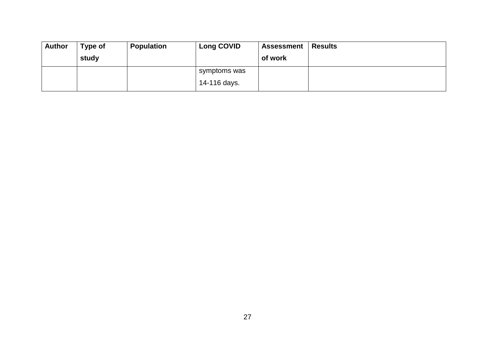| Author | Type of | <b>Population</b> | <b>Long COVID</b> | <b>Assessment</b> | Results |
|--------|---------|-------------------|-------------------|-------------------|---------|
|        | study   |                   |                   | of work           |         |
|        |         |                   | symptoms was      |                   |         |
|        |         |                   | 14-116 days.      |                   |         |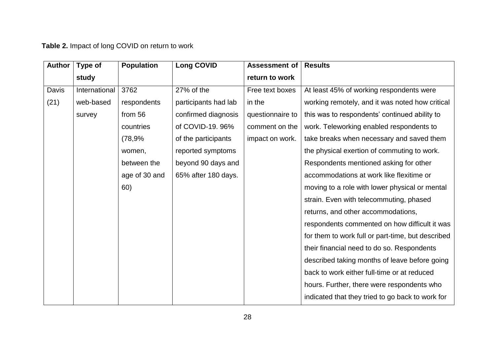**Table 2.** Impact of long COVID on return to work

| <b>Author</b> | Type of       | <b>Population</b> | <b>Long COVID</b>    | <b>Assessment of</b> | <b>Results</b>                                    |
|---------------|---------------|-------------------|----------------------|----------------------|---------------------------------------------------|
|               | study         |                   |                      | return to work       |                                                   |
| Davis         | International | 3762              | 27% of the           | Free text boxes      | At least 45% of working respondents were          |
| (21)          | web-based     | respondents       | participants had lab | in the               | working remotely, and it was noted how critical   |
|               | survey        | from 56           | confirmed diagnosis  | questionnaire to     | this was to respondents' continued ability to     |
|               |               | countries         | of COVID-19. 96%     | comment on the       | work. Teleworking enabled respondents to          |
|               |               | (78,9%            | of the participants  | impact on work.      | take breaks when necessary and saved them         |
|               |               | women,            | reported symptoms    |                      | the physical exertion of commuting to work.       |
|               |               | between the       | beyond 90 days and   |                      | Respondents mentioned asking for other            |
|               |               | age of 30 and     | 65% after 180 days.  |                      | accommodations at work like flexitime or          |
|               |               | 60)               |                      |                      | moving to a role with lower physical or mental    |
|               |               |                   |                      |                      | strain. Even with telecommuting, phased           |
|               |               |                   |                      |                      | returns, and other accommodations,                |
|               |               |                   |                      |                      | respondents commented on how difficult it was     |
|               |               |                   |                      |                      | for them to work full or part-time, but described |
|               |               |                   |                      |                      | their financial need to do so. Respondents        |
|               |               |                   |                      |                      | described taking months of leave before going     |
|               |               |                   |                      |                      | back to work either full-time or at reduced       |
|               |               |                   |                      |                      | hours. Further, there were respondents who        |
|               |               |                   |                      |                      | indicated that they tried to go back to work for  |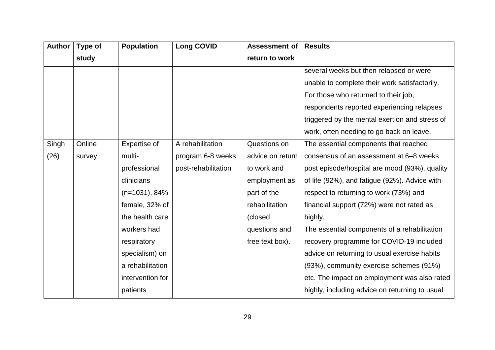| <b>Author</b> | Type of | <b>Population</b> | <b>Long COVID</b>   | Assessment of    | <b>Results</b>                                 |
|---------------|---------|-------------------|---------------------|------------------|------------------------------------------------|
|               | study   |                   |                     | return to work   |                                                |
|               |         |                   |                     |                  | several weeks but then relapsed or were        |
|               |         |                   |                     |                  | unable to complete their work satisfactorily.  |
|               |         |                   |                     |                  | For those who returned to their job,           |
|               |         |                   |                     |                  | respondents reported experiencing relapses     |
|               |         |                   |                     |                  | triggered by the mental exertion and stress of |
|               |         |                   |                     |                  | work, often needing to go back on leave.       |
| Singh         | Online  | Expertise of      | A rehabilitation    | Questions on     | The essential components that reached          |
| (26)          | survey  | multi-            | program 6-8 weeks   | advice on return | consensus of an assessment at 6–8 weeks        |
|               |         | professional      | post-rehabilitation | to work and      | post episode/hospital are mood (93%), quality  |
|               |         | clinicians        |                     | employment as    | of life (92%), and fatigue (92%). Advice with  |
|               |         | $(n=1031), 84%$   |                     | part of the      | respect to returning to work (73%) and         |
|               |         | female, 32% of    |                     | rehabilitation   | financial support (72%) were not rated as      |
|               |         | the health care   |                     | (closed          | highly.                                        |
|               |         | workers had       |                     | questions and    | The essential components of a rehabilitation   |
|               |         | respiratory       |                     | free text box).  | recovery programme for COVID-19 included       |
|               |         | specialism) on    |                     |                  | advice on returning to usual exercise habits   |
|               |         | a rehabilitation  |                     |                  | (93%), community exercise schemes (91%)        |
|               |         | intervention for  |                     |                  | etc. The impact on employment was also rated   |
|               |         | patients          |                     |                  | highly, including advice on returning to usual |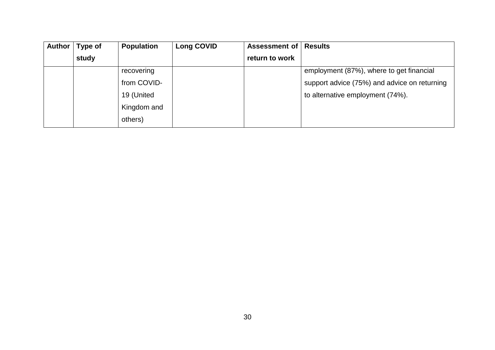| <b>Author</b> | Type of | <b>Population</b> | <b>Long COVID</b> | <b>Assessment of   Results</b> |                                              |
|---------------|---------|-------------------|-------------------|--------------------------------|----------------------------------------------|
|               | study   |                   |                   | return to work                 |                                              |
|               |         | recovering        |                   |                                | employment (87%), where to get financial     |
|               |         | from COVID-       |                   |                                | support advice (75%) and advice on returning |
|               |         | 19 (United        |                   |                                | to alternative employment (74%).             |
|               |         | Kingdom and       |                   |                                |                                              |
|               |         | others)           |                   |                                |                                              |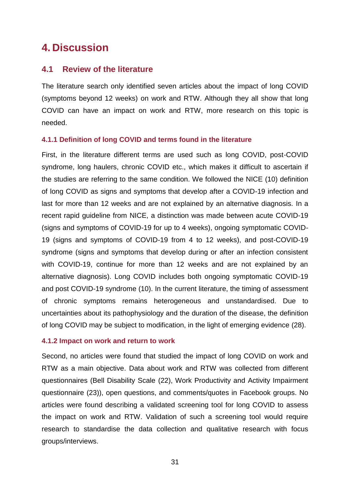## <span id="page-30-0"></span>**4. Discussion**

#### <span id="page-30-1"></span>**4.1 Review of the literature**

The literature search only identified seven articles about the impact of long COVID (symptoms beyond 12 weeks) on work and RTW. Although they all show that long COVID can have an impact on work and RTW, more research on this topic is needed.

#### **4.1.1 Definition of long COVID and terms found in the literature**

First, in the literature different terms are used such as long COVID, post-COVID syndrome, long haulers, chronic COVID etc., which makes it difficult to ascertain if the studies are referring to the same condition. We followed the NICE (10) definition of long COVID as signs and symptoms that develop after a COVID-19 infection and last for more than 12 weeks and are not explained by an alternative diagnosis. In a recent rapid guideline from NICE, a distinction was made between acute COVID-19 (signs and symptoms of COVID-19 for up to 4 weeks), ongoing symptomatic COVID-19 (signs and symptoms of COVID-19 from 4 to 12 weeks), and post-COVID-19 syndrome (signs and symptoms that develop during or after an infection consistent with COVID-19, continue for more than 12 weeks and are not explained by an alternative diagnosis). Long COVID includes both ongoing symptomatic COVID-19 and post COVID-19 syndrome (10). In the current literature, the timing of assessment of chronic symptoms remains heterogeneous and unstandardised. Due to uncertainties about its pathophysiology and the duration of the disease, the definition of long COVID may be subject to modification, in the light of emerging evidence (28).

#### **4.1.2 Impact on work and return to work**

Second, no articles were found that studied the impact of long COVID on work and RTW as a main objective. Data about work and RTW was collected from different questionnaires (Bell Disability Scale (22), Work Productivity and Activity Impairment questionnaire (23)), open questions, and comments/quotes in Facebook groups. No articles were found describing a validated screening tool for long COVID to assess the impact on work and RTW. Validation of such a screening tool would require research to standardise the data collection and qualitative research with focus groups/interviews.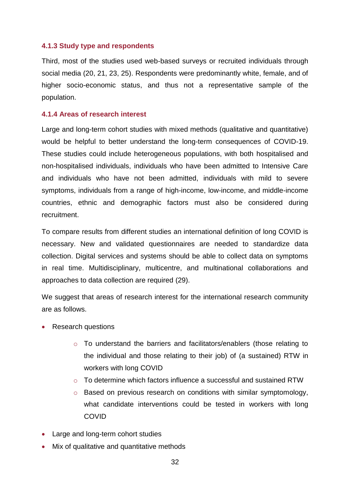#### **4.1.3 Study type and respondents**

Third, most of the studies used web-based surveys or recruited individuals through social media (20, 21, 23, 25). Respondents were predominantly white, female, and of higher socio-economic status, and thus not a representative sample of the population.

#### **4.1.4 Areas of research interest**

Large and long-term cohort studies with mixed methods (qualitative and quantitative) would be helpful to better understand the long-term consequences of COVID-19. These studies could include heterogeneous populations, with both hospitalised and non-hospitalised individuals, individuals who have been admitted to Intensive Care and individuals who have not been admitted, individuals with mild to severe symptoms, individuals from a range of high-income, low-income, and middle-income countries, ethnic and demographic factors must also be considered during recruitment.

To compare results from different studies an international definition of long COVID is necessary. New and validated questionnaires are needed to standardize data collection. Digital services and systems should be able to collect data on symptoms in real time. Multidisciplinary, multicentre, and multinational collaborations and approaches to data collection are required (29).

We suggest that areas of research interest for the international research community are as follows.

- Research questions
	- o To understand the barriers and facilitators/enablers (those relating to the individual and those relating to their job) of (a sustained) RTW in workers with long COVID
	- $\circ$  To determine which factors influence a successful and sustained RTW
	- o Based on previous research on conditions with similar symptomology, what candidate interventions could be tested in workers with long COVID
- Large and long-term cohort studies
- Mix of qualitative and quantitative methods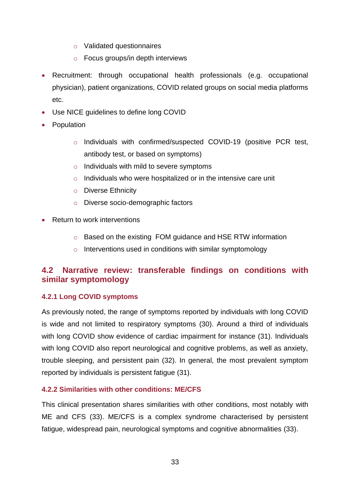- o Validated questionnaires
- o Focus groups/in depth interviews
- Recruitment: through occupational health professionals (e.g. occupational physician), patient organizations, COVID related groups on social media platforms etc.
- Use NICE guidelines to define long COVID
- Population
	- o Individuals with confirmed/suspected COVID-19 (positive PCR test, antibody test, or based on symptoms)
	- $\circ$  Individuals with mild to severe symptoms
	- o Individuals who were hospitalized or in the intensive care unit
	- o Diverse Ethnicity
	- o Diverse socio-demographic factors
- Return to work interventions
	- o Based on the existing FOM guidance and HSE RTW information
	- o Interventions used in conditions with similar symptomology

### <span id="page-32-0"></span>**4.2 Narrative review: transferable findings on conditions with similar symptomology**

#### **4.2.1 Long COVID symptoms**

As previously noted, the range of symptoms reported by individuals with long COVID is wide and not limited to respiratory symptoms (30). Around a third of individuals with long COVID show evidence of cardiac impairment for instance (31). Individuals with long COVID also report neurological and cognitive problems, as well as anxiety, trouble sleeping, and persistent pain (32). In general, the most prevalent symptom reported by individuals is persistent fatigue (31).

#### **4.2.2 Similarities with other conditions: ME/CFS**

This clinical presentation shares similarities with other conditions, most notably with ME and CFS (33). ME/CFS is a complex syndrome characterised by persistent fatigue, widespread pain, neurological symptoms and cognitive abnormalities (33).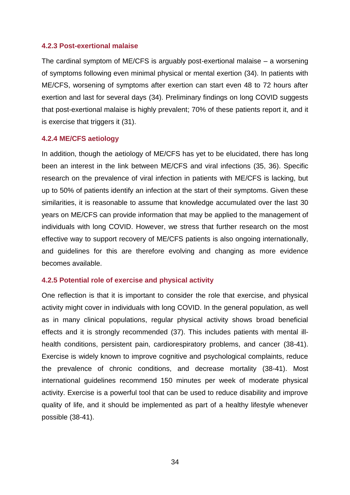#### **4.2.3 Post-exertional malaise**

The cardinal symptom of ME/CFS is arguably post-exertional malaise – a worsening of symptoms following even minimal physical or mental exertion (34). In patients with ME/CFS, worsening of symptoms after exertion can start even 48 to 72 hours after exertion and last for several days (34). Preliminary findings on long COVID suggests that post-exertional malaise is highly prevalent; 70% of these patients report it, and it is exercise that triggers it (31).

#### **4.2.4 ME/CFS aetiology**

In addition, though the aetiology of ME/CFS has yet to be elucidated, there has long been an interest in the link between ME/CFS and viral infections (35, 36). Specific research on the prevalence of viral infection in patients with ME/CFS is lacking, but up to 50% of patients identify an infection at the start of their symptoms. Given these similarities, it is reasonable to assume that knowledge accumulated over the last 30 years on ME/CFS can provide information that may be applied to the management of individuals with long COVID. However, we stress that further research on the most effective way to support recovery of ME/CFS patients is also ongoing internationally, and guidelines for this are therefore evolving and changing as more evidence becomes available.

#### **4.2.5 Potential role of exercise and physical activity**

One reflection is that it is important to consider the role that exercise, and physical activity might cover in individuals with long COVID. In the general population, as well as in many clinical populations, regular physical activity shows broad beneficial effects and it is strongly recommended (37). This includes patients with mental illhealth conditions, persistent pain, cardiorespiratory problems, and cancer (38-41). Exercise is widely known to improve cognitive and psychological complaints, reduce the prevalence of chronic conditions, and decrease mortality (38-41). Most international guidelines recommend 150 minutes per week of moderate physical activity. Exercise is a powerful tool that can be used to reduce disability and improve quality of life, and it should be implemented as part of a healthy lifestyle whenever possible (38-41).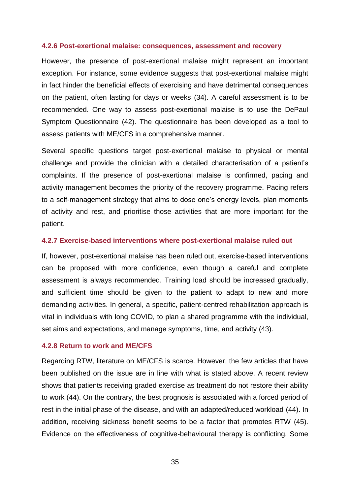#### **4.2.6 Post-exertional malaise: consequences, assessment and recovery**

However, the presence of post-exertional malaise might represent an important exception. For instance, some evidence suggests that post-exertional malaise might in fact hinder the beneficial effects of exercising and have detrimental consequences on the patient, often lasting for days or weeks (34). A careful assessment is to be recommended. One way to assess post-exertional malaise is to use the DePaul Symptom Questionnaire (42). The questionnaire has been developed as a tool to assess patients with ME/CFS in a comprehensive manner.

Several specific questions target post-exertional malaise to physical or mental challenge and provide the clinician with a detailed characterisation of a patient's complaints. If the presence of post-exertional malaise is confirmed, pacing and activity management becomes the priority of the recovery programme. Pacing refers to a self-management strategy that aims to dose one's energy levels, plan moments of activity and rest, and prioritise those activities that are more important for the patient.

#### **4.2.7 Exercise-based interventions where post-exertional malaise ruled out**

If, however, post-exertional malaise has been ruled out, exercise-based interventions can be proposed with more confidence, even though a careful and complete assessment is always recommended. Training load should be increased gradually, and sufficient time should be given to the patient to adapt to new and more demanding activities. In general, a specific, patient-centred rehabilitation approach is vital in individuals with long COVID, to plan a shared programme with the individual, set aims and expectations, and manage symptoms, time, and activity (43).

#### **4.2.8 Return to work and ME/CFS**

Regarding RTW, literature on ME/CFS is scarce. However, the few articles that have been published on the issue are in line with what is stated above. A recent review shows that patients receiving graded exercise as treatment do not restore their ability to work (44). On the contrary, the best prognosis is associated with a forced period of rest in the initial phase of the disease, and with an adapted/reduced workload (44). In addition, receiving sickness benefit seems to be a factor that promotes RTW (45). Evidence on the effectiveness of cognitive-behavioural therapy is conflicting. Some

35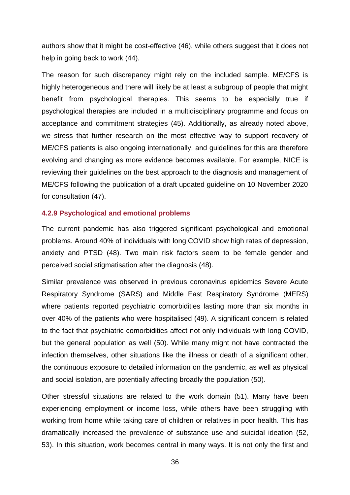authors show that it might be cost-effective (46), while others suggest that it does not help in going back to work (44).

The reason for such discrepancy might rely on the included sample. ME/CFS is highly heterogeneous and there will likely be at least a subgroup of people that might benefit from psychological therapies. This seems to be especially true if psychological therapies are included in a multidisciplinary programme and focus on acceptance and commitment strategies (45). Additionally, as already noted above, we stress that further research on the most effective way to support recovery of ME/CFS patients is also ongoing internationally, and guidelines for this are therefore evolving and changing as more evidence becomes available. For example, NICE is reviewing their guidelines on the best approach to the diagnosis and management of ME/CFS following the publication of a draft updated guideline on 10 November 2020 for consultation (47).

#### **4.2.9 Psychological and emotional problems**

The current pandemic has also triggered significant psychological and emotional problems. Around 40% of individuals with long COVID show high rates of depression, anxiety and PTSD (48). Two main risk factors seem to be female gender and perceived social stigmatisation after the diagnosis (48).

Similar prevalence was observed in previous coronavirus epidemics Severe Acute Respiratory Syndrome (SARS) and Middle East Respiratory Syndrome (MERS) where patients reported psychiatric comorbidities lasting more than six months in over 40% of the patients who were hospitalised (49). A significant concern is related to the fact that psychiatric comorbidities affect not only individuals with long COVID, but the general population as well (50). While many might not have contracted the infection themselves, other situations like the illness or death of a significant other, the continuous exposure to detailed information on the pandemic, as well as physical and social isolation, are potentially affecting broadly the population (50).

Other stressful situations are related to the work domain (51). Many have been experiencing employment or income loss, while others have been struggling with working from home while taking care of children or relatives in poor health. This has dramatically increased the prevalence of substance use and suicidal ideation (52, 53). In this situation, work becomes central in many ways. It is not only the first and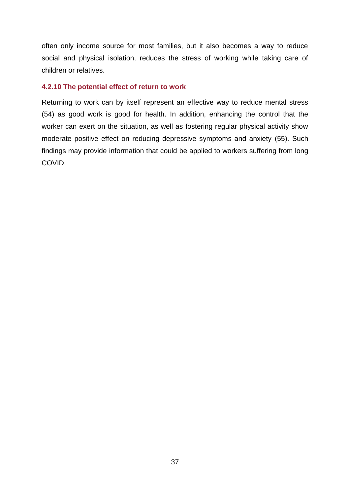often only income source for most families, but it also becomes a way to reduce social and physical isolation, reduces the stress of working while taking care of children or relatives.

#### **4.2.10 The potential effect of return to work**

Returning to work can by itself represent an effective way to reduce mental stress (54) as good work is good for health. In addition, enhancing the control that the worker can exert on the situation, as well as fostering regular physical activity show moderate positive effect on reducing depressive symptoms and anxiety (55). Such findings may provide information that could be applied to workers suffering from long COVID.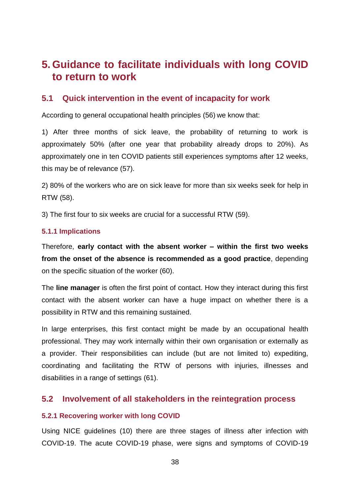# <span id="page-37-0"></span>**5. Guidance to facilitate individuals with long COVID to return to work**

### <span id="page-37-1"></span>**5.1 Quick intervention in the event of incapacity for work**

According to general occupational health principles (56) we know that:

1) After three months of sick leave, the probability of returning to work is approximately 50% (after one year that probability already drops to 20%). As approximately one in ten COVID patients still experiences symptoms after 12 weeks, this may be of relevance (57).

2) 80% of the workers who are on sick leave for more than six weeks seek for help in RTW (58).

3) The first four to six weeks are crucial for a successful RTW (59).

#### **5.1.1 Implications**

Therefore, **early contact with the absent worker – within the first two weeks from the onset of the absence is recommended as a good practice**, depending on the specific situation of the worker (60).

The **line manager** is often the first point of contact. How they interact during this first contact with the absent worker can have a huge impact on whether there is a possibility in RTW and this remaining sustained.

In large enterprises, this first contact might be made by an occupational health professional. They may work internally within their own organisation or externally as a provider. Their responsibilities can include (but are not limited to) expediting, coordinating and facilitating the RTW of persons with injuries, illnesses and disabilities in a range of settings (61).

#### <span id="page-37-2"></span>**5.2 Involvement of all stakeholders in the reintegration process**

#### **5.2.1 Recovering worker with long COVID**

Using NICE guidelines (10) there are three stages of illness after infection with COVID-19. The acute COVID-19 phase, were signs and symptoms of COVID-19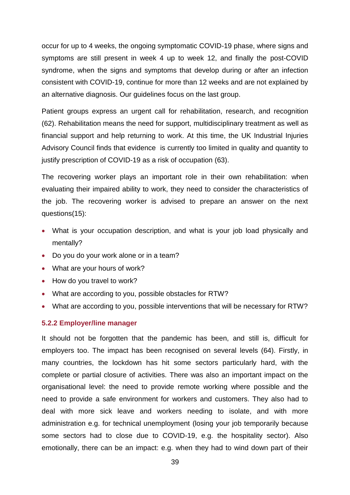occur for up to 4 weeks, the ongoing symptomatic COVID-19 phase, where signs and symptoms are still present in week 4 up to week 12, and finally the post-COVID syndrome, when the signs and symptoms that develop during or after an infection consistent with COVID-19, continue for more than 12 weeks and are not explained by an alternative diagnosis. Our guidelines focus on the last group.

Patient groups express an urgent call for rehabilitation, research, and recognition (62). Rehabilitation means the need for support, multidisciplinary treatment as well as financial support and help returning to work. At this time, the UK Industrial Injuries Advisory Council finds that evidence is currently too limited in quality and quantity to justify prescription of COVID-19 as a risk of occupation (63).

The recovering worker plays an important role in their own rehabilitation: when evaluating their impaired ability to work, they need to consider the characteristics of the job. The recovering worker is advised to prepare an answer on the next questions(15):

- What is your occupation description, and what is your job load physically and mentally?
- Do you do your work alone or in a team?
- What are your hours of work?
- How do you travel to work?
- What are according to you, possible obstacles for RTW?
- What are according to you, possible interventions that will be necessary for RTW?

#### **5.2.2 Employer/line manager**

It should not be forgotten that the pandemic has been, and still is, difficult for employers too. The impact has been recognised on several levels (64). Firstly, in many countries, the lockdown has hit some sectors particularly hard, with the complete or partial closure of activities. There was also an important impact on the organisational level: the need to provide remote working where possible and the need to provide a safe environment for workers and customers. They also had to deal with more sick leave and workers needing to isolate, and with more administration e.g. for technical unemployment (losing your job temporarily because some sectors had to close due to COVID-19, e.g. the hospitality sector). Also emotionally, there can be an impact: e.g. when they had to wind down part of their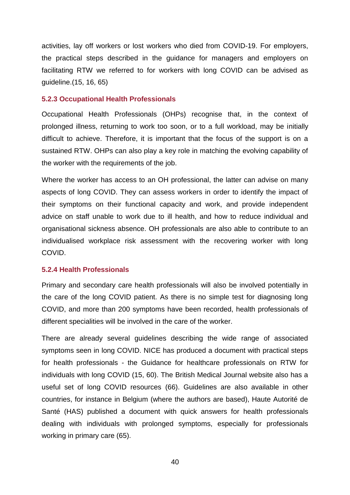activities, lay off workers or lost workers who died from COVID-19. For employers, the practical steps described in the guidance for managers and employers on facilitating RTW we referred to for workers with long COVID can be advised as guideline.(15, 16, 65)

#### **5.2.3 Occupational Health Professionals**

Occupational Health Professionals (OHPs) recognise that, in the context of prolonged illness, returning to work too soon, or to a full workload, may be initially difficult to achieve. Therefore, it is important that the focus of the support is on a sustained RTW. OHPs can also play a key role in matching the evolving capability of the worker with the requirements of the job.

Where the worker has access to an OH professional, the latter can advise on many aspects of long COVID. They can assess workers in order to identify the impact of their symptoms on their functional capacity and work, and provide independent advice on staff unable to work due to ill health, and how to reduce individual and organisational sickness absence. OH professionals are also able to contribute to an individualised workplace risk assessment with the recovering worker with long COVID.

#### **5.2.4 Health Professionals**

Primary and secondary care health professionals will also be involved potentially in the care of the long COVID patient. As there is no simple test for diagnosing long COVID, and more than 200 symptoms have been recorded, health professionals of different specialities will be involved in the care of the worker.

There are already several guidelines describing the wide range of associated symptoms seen in long COVID. NICE has produced a document with practical steps for health professionals - the Guidance for healthcare professionals on RTW for individuals with long COVID (15, 60). The British Medical Journal website also has a useful set of long COVID resources (66). Guidelines are also available in other countries, for instance in Belgium (where the authors are based), Haute Autorité de Santé (HAS) published a document with quick answers for health professionals dealing with individuals with prolonged symptoms, especially for professionals working in primary care (65).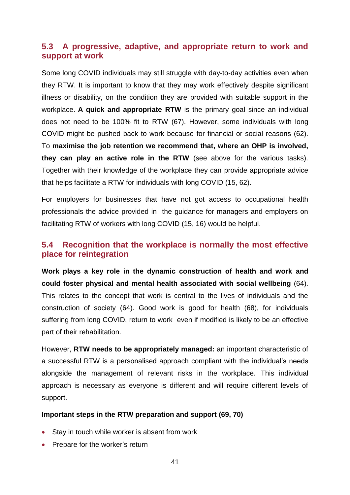### <span id="page-40-0"></span>**5.3 A progressive, adaptive, and appropriate return to work and support at work**

Some long COVID individuals may still struggle with day-to-day activities even when they RTW. It is important to know that they may work effectively despite significant illness or disability, on the condition they are provided with suitable support in the workplace. **A quick and appropriate RTW** is the primary goal since an individual does not need to be 100% fit to RTW (67). However, some individuals with long COVID might be pushed back to work because for financial or social reasons (62). To **maximise the job retention we recommend that, where an OHP is involved, they can play an active role in the RTW** (see above for the various tasks). Together with their knowledge of the workplace they can provide appropriate advice that helps facilitate a RTW for individuals with long COVID (15, 62).

For employers for businesses that have not got access to occupational health professionals the advice provided in the guidance for managers and employers on facilitating RTW of workers with long COVID (15, 16) would be helpful.

### <span id="page-40-1"></span>**5.4 Recognition that the workplace is normally the most effective place for reintegration**

**Work plays a key role in the dynamic construction of health and work and could foster physical and mental health associated with social wellbeing** (64). This relates to the concept that work is central to the lives of individuals and the construction of society (64). Good work is good for health (68), for individuals suffering from long COVID, return to work even if modified is likely to be an effective part of their rehabilitation.

However, **RTW needs to be appropriately managed:** an important characteristic of a successful RTW is a personalised approach compliant with the individual's needs alongside the management of relevant risks in the workplace. This individual approach is necessary as everyone is different and will require different levels of support.

#### **Important steps in the RTW preparation and support (69, 70)**

- Stay in touch while worker is absent from work
- Prepare for the worker's return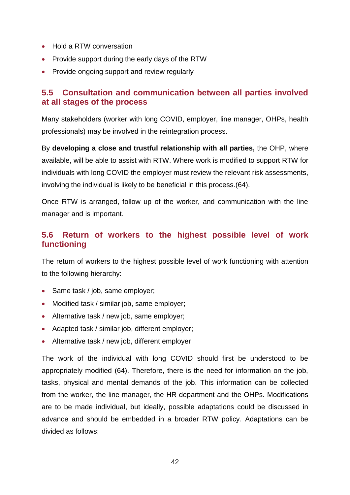- Hold a RTW conversation
- Provide support during the early days of the RTW
- Provide ongoing support and review regularly

### <span id="page-41-0"></span>**5.5 Consultation and communication between all parties involved at all stages of the process**

Many stakeholders (worker with long COVID, employer, line manager, OHPs, health professionals) may be involved in the reintegration process.

By **developing a close and trustful relationship with all parties,** the OHP, where available, will be able to assist with RTW. Where work is modified to support RTW for individuals with long COVID the employer must review the relevant risk assessments, involving the individual is likely to be beneficial in this process.(64).

Once RTW is arranged, follow up of the worker, and communication with the line manager and is important.

### <span id="page-41-1"></span>**5.6 Return of workers to the highest possible level of work functioning**

The return of workers to the highest possible level of work functioning with attention to the following hierarchy:

- Same task / job, same employer;
- Modified task / similar job, same employer;
- Alternative task / new job, same employer;
- Adapted task / similar job, different employer;
- Alternative task / new job, different employer

The work of the individual with long COVID should first be understood to be appropriately modified (64). Therefore, there is the need for information on the job, tasks, physical and mental demands of the job. This information can be collected from the worker, the line manager, the HR department and the OHPs. Modifications are to be made individual, but ideally, possible adaptations could be discussed in advance and should be embedded in a broader RTW policy. Adaptations can be divided as follows: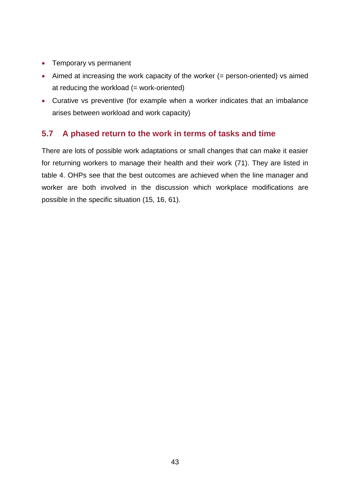- Temporary vs permanent
- Aimed at increasing the work capacity of the worker (= person-oriented) vs aimed at reducing the workload (= work-oriented)
- Curative vs preventive (for example when a worker indicates that an imbalance arises between workload and work capacity)

### <span id="page-42-0"></span>**5.7 A phased return to the work in terms of tasks and time**

There are lots of possible work adaptations or small changes that can make it easier for returning workers to manage their health and their work (71). They are listed in table 4. OHPs see that the best outcomes are achieved when the line manager and worker are both involved in the discussion which workplace modifications are possible in the specific situation (15, 16, 61).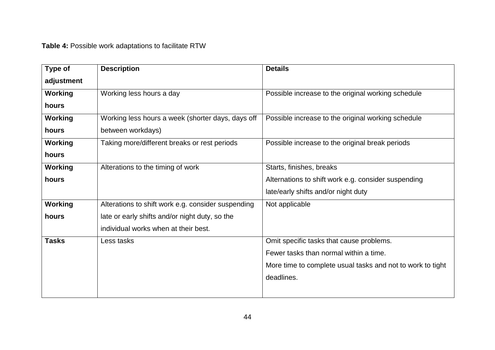**Table 4:** Possible work adaptations to facilitate RTW

| Type of        | <b>Description</b>                                 | <b>Details</b>                                             |
|----------------|----------------------------------------------------|------------------------------------------------------------|
| adjustment     |                                                    |                                                            |
| Working        | Working less hours a day                           | Possible increase to the original working schedule         |
| hours          |                                                    |                                                            |
| Working        | Working less hours a week (shorter days, days off  | Possible increase to the original working schedule         |
| hours          | between workdays)                                  |                                                            |
| <b>Working</b> | Taking more/different breaks or rest periods       | Possible increase to the original break periods            |
| hours          |                                                    |                                                            |
| <b>Working</b> | Alterations to the timing of work                  | Starts, finishes, breaks                                   |
| hours          |                                                    | Alternations to shift work e.g. consider suspending        |
|                |                                                    | late/early shifts and/or night duty                        |
| Working        | Alterations to shift work e.g. consider suspending | Not applicable                                             |
| hours          | late or early shifts and/or night duty, so the     |                                                            |
|                | individual works when at their best.               |                                                            |
| <b>Tasks</b>   | Less tasks                                         | Omit specific tasks that cause problems.                   |
|                |                                                    | Fewer tasks than normal within a time.                     |
|                |                                                    | More time to complete usual tasks and not to work to tight |
|                |                                                    | deadlines.                                                 |
|                |                                                    |                                                            |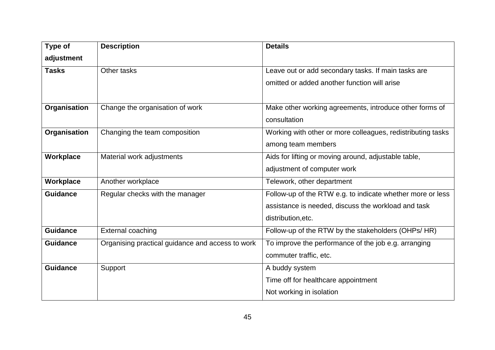| Type of         | <b>Description</b>                               | <b>Details</b>                                              |
|-----------------|--------------------------------------------------|-------------------------------------------------------------|
| adjustment      |                                                  |                                                             |
| <b>Tasks</b>    | Other tasks                                      | Leave out or add secondary tasks. If main tasks are         |
|                 |                                                  | omitted or added another function will arise                |
|                 |                                                  |                                                             |
| Organisation    | Change the organisation of work                  | Make other working agreements, introduce other forms of     |
|                 |                                                  | consultation                                                |
| Organisation    | Changing the team composition                    | Working with other or more colleagues, redistributing tasks |
|                 |                                                  | among team members                                          |
| Workplace       | Material work adjustments                        | Aids for lifting or moving around, adjustable table,        |
|                 |                                                  | adjustment of computer work                                 |
| Workplace       | Another workplace                                | Telework, other department                                  |
| <b>Guidance</b> | Regular checks with the manager                  | Follow-up of the RTW e.g. to indicate whether more or less  |
|                 |                                                  | assistance is needed, discuss the workload and task         |
|                 |                                                  | distribution, etc.                                          |
| <b>Guidance</b> | <b>External coaching</b>                         | Follow-up of the RTW by the stakeholders (OHPs/ HR)         |
| <b>Guidance</b> | Organising practical guidance and access to work | To improve the performance of the job e.g. arranging        |
|                 |                                                  | commuter traffic, etc.                                      |
| <b>Guidance</b> | Support                                          | A buddy system                                              |
|                 |                                                  | Time off for healthcare appointment                         |
|                 |                                                  | Not working in isolation                                    |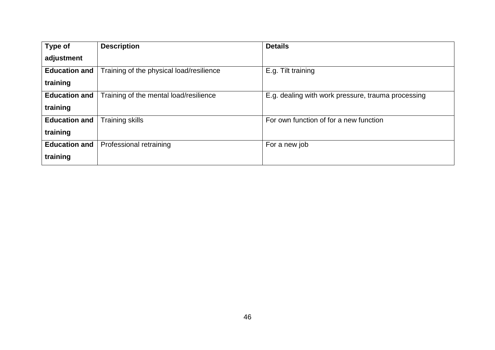| Type of              | <b>Description</b>                       | <b>Details</b>                                     |
|----------------------|------------------------------------------|----------------------------------------------------|
| adjustment           |                                          |                                                    |
| <b>Education and</b> | Training of the physical load/resilience | E.g. Tilt training                                 |
| training             |                                          |                                                    |
| <b>Education and</b> | Training of the mental load/resilience   | E.g. dealing with work pressure, trauma processing |
| training             |                                          |                                                    |
| <b>Education and</b> | <b>Training skills</b>                   | For own function of for a new function             |
| training             |                                          |                                                    |
| <b>Education and</b> | Professional retraining                  | For a new job                                      |
| training             |                                          |                                                    |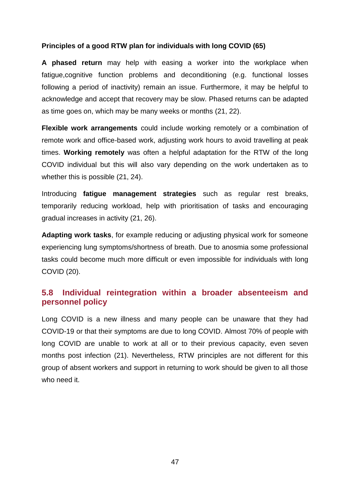#### **Principles of a good RTW plan for individuals with long COVID (65)**

**A phased return** may help with easing a worker into the workplace when fatigue,cognitive function problems and deconditioning (e.g. functional losses following a period of inactivity) remain an issue. Furthermore, it may be helpful to acknowledge and accept that recovery may be slow. Phased returns can be adapted as time goes on, which may be many weeks or months (21, 22).

**Flexible work arrangements** could include working remotely or a combination of remote work and office-based work, adjusting work hours to avoid travelling at peak times. **Working remotely** was often a helpful adaptation for the RTW of the long COVID individual but this will also vary depending on the work undertaken as to whether this is possible (21, 24).

Introducing **fatigue management strategies** such as regular rest breaks, temporarily reducing workload, help with prioritisation of tasks and encouraging gradual increases in activity (21, 26).

**Adapting work tasks**, for example reducing or adjusting physical work for someone experiencing lung symptoms/shortness of breath. Due to anosmia some professional tasks could become much more difficult or even impossible for individuals with long COVID (20).

### <span id="page-46-0"></span>**5.8 Individual reintegration within a broader absenteeism and personnel policy**

Long COVID is a new illness and many people can be unaware that they had COVID-19 or that their symptoms are due to long COVID. Almost 70% of people with long COVID are unable to work at all or to their previous capacity, even seven months post infection (21). Nevertheless, RTW principles are not different for this group of absent workers and support in returning to work should be given to all those who need it.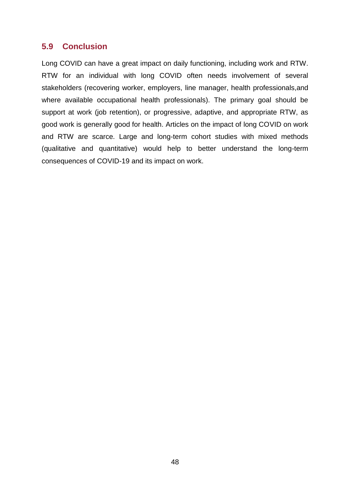### <span id="page-47-0"></span>**5.9 Conclusion**

Long COVID can have a great impact on daily functioning, including work and RTW. RTW for an individual with long COVID often needs involvement of several stakeholders (recovering worker, employers, line manager, health professionals,and where available occupational health professionals). The primary goal should be support at work (job retention), or progressive, adaptive, and appropriate RTW, as good work is generally good for health. Articles on the impact of long COVID on work and RTW are scarce. Large and long-term cohort studies with mixed methods (qualitative and quantitative) would help to better understand the long-term consequences of COVID-19 and its impact on work.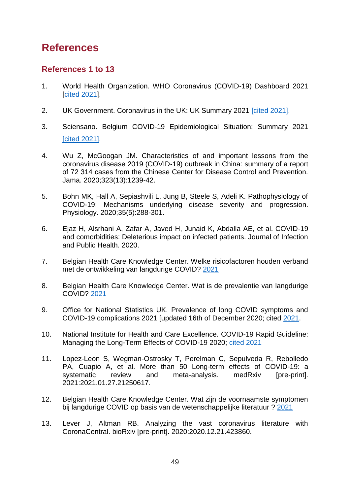# <span id="page-48-0"></span>**References**

### **References 1 to 13**

- 1. World Health Organization. WHO Coronavirus (COVID-19) Dashboard 2021 [\[cited 2021\]](https://covid19.who.int/).
- 2. UK Government. Coronavirus in the UK: UK Summary 2021 [\[cited 2021\].](https://coronavirus.data.gov.uk/)
- 3. Sciensano. Belgium COVID-19 Epidemiological Situation: Summary 2021 [\[cited 2021\].](https://epistat.wiv-isp.be/covid/covid-19.html)
- 4. Wu Z, McGoogan JM. Characteristics of and important lessons from the coronavirus disease 2019 (COVID-19) outbreak in China: summary of a report of 72 314 cases from the Chinese Center for Disease Control and Prevention. Jama. 2020;323(13):1239-42.
- 5. Bohn MK, Hall A, Sepiashvili L, Jung B, Steele S, Adeli K. Pathophysiology of COVID-19: Mechanisms underlying disease severity and progression. Physiology. 2020;35(5):288-301.
- 6. Ejaz H, Alsrhani A, Zafar A, Javed H, Junaid K, Abdalla AE, et al. COVID-19 and comorbidities: Deleterious impact on infected patients. Journal of Infection and Public Health. 2020.
- 7. Belgian Health Care Knowledge Center. Welke risicofactoren houden verband met de ontwikkeling van langdurige COVID? [2021](https://kce.fgov.be/nl/welke-risicofactoren-houden-verband-met-de-ontwikkeling-van-langdurige-covid)
- 8. Belgian Health Care Knowledge Center. Wat is de prevalentie van langdurige COVID? [2021](https://kce.fgov.be/nl/wat-is-de-prevalentie-van-langdurige-covid)
- 9. Office for National Statistics UK. Prevalence of long COVID symptoms and COVID-19 complications 2021 [updated 16th of December 2020; cited [2021.](https://www.ons.gov.uk/peoplepopulationandcommunity/healthandsocialcare/healthandlifeexpectancies/datasets/prevalenceoflongcovidsymptomsandcovid19complications.)
- 10. National Institute for Health and Care Excellence. COVID-19 Rapid Guideline: Managing the Long-Term Effects of COVID-19 2020; [cited 2021](https://www.nice.org.uk/guidance/ng188)
- 11. Lopez-Leon S, Wegman-Ostrosky T, Perelman C, Sepulveda R, Rebolledo PA, Cuapio A, et al. More than 50 Long-term effects of COVID-19: a systematic review and meta-analysis. medRxiv [pre-print]. 2021:2021.01.27.21250617.
- 12. Belgian Health Care Knowledge Center. Wat zijn de voornaamste symptomen bij langdurige COVID op basis van de wetenschappelijke literatuur ? [2021](https://kce.fgov.be/nl/wat-zijn-de-voornaamste-symptomen-bij-langdurige-covid-op-basis-van-de-wetenschappelijke-literatuur.)
- 13. Lever J, Altman RB. Analyzing the vast coronavirus literature with CoronaCentral. bioRxiv [pre-print]. 2020:2020.12.21.423860.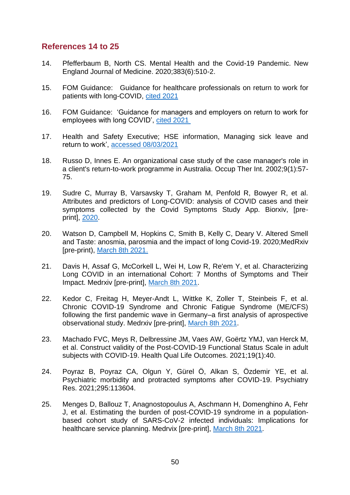### **References 14 to 25**

- 14. Pfefferbaum B, North CS. Mental Health and the Covid-19 Pandemic. New England Journal of Medicine. 2020;383(6):510-2.
- 15. FOM Guidance: Guidance for healthcare professionals on return to work for patients with long-COVID, [cited 2021](https://www.fom.ac.uk/media-events/publications/fom-guidance)
- 16. FOM Guidance: 'Guidance for managers and employers on return to work for employees with long COVID', [cited 2021](https://www.fom.ac.uk/media-events/publications/fom-guidance)
- 17. Health and Safety Executive; HSE information, Managing sick leave and return to work', [accessed 08/03/2021](https://www.hse.gov.uk/sicknessabsence/)
- 18. Russo D, Innes E. An organizational case study of the case manager's role in a client's return-to-work programme in Australia. Occup Ther Int. 2002;9(1):57- 75.
- 19. Sudre C, Murray B, Varsavsky T, Graham M, Penfold R, Bowyer R, et al. Attributes and predictors of Long-COVID: analysis of COVID cases and their symptoms collected by the Covid Symptoms Study App. Biorxiv, [preprint], [2020.](https://doiorg/101101/2020101920214494)
- 20. Watson D, Campbell M, Hopkins C, Smith B, Kelly C, Deary V. Altered Smell and Taste: anosmia, parosmia and the impact of long Covid-19. 2020;MedRxiv [pre-print), [March 8th 2021.](https://doi.org/10.1101/2020.11.26.20239152)
- 21. Davis H, Assaf G, McCorkell L, Wei H, Low R, Re'em Y, et al. Characterizing Long COVID in an international Cohort: 7 Months of Symptoms and Their Impact. Medrxiv [pre-print], [March 8th 2021.](https://doiorg/101101/2020122420248802)
- 22. Kedor C, Freitag H, Meyer-Andt L, Wittke K, Zoller T, Steinbeis F, et al. Chronic COVID-19 Syndrome and Chronic Fatigue Syndrome (ME/CFS) following the first pandemic wave in Germany–a first analysis of aprospective observational study. Medrxiv [pre-print], [March 8th 2021.](https://doiorg/101101/2021020621249256)
- 23. Machado FVC, Meys R, Delbressine JM, Vaes AW, Goërtz YMJ, van Herck M, et al. Construct validity of the Post-COVID-19 Functional Status Scale in adult subjects with COVID-19. Health Qual Life Outcomes. 2021;19(1):40.
- 24. Poyraz B, Poyraz CA, Olgun Y, Gürel Ö, Alkan S, Özdemir YE, et al. Psychiatric morbidity and protracted symptoms after COVID-19. Psychiatry Res. 2021;295:113604.
- 25. Menges D, Ballouz T, Anagnostopoulus A, Aschmann H, Domenghino A, Fehr J, et al. Estimating the burden of post-COVID-19 syndrome in a populationbased cohort study of SARS-CoV-2 infected individuals: Implications for healthcare service planning. Medrvix [pre-print], [March 8th 2021.](https://doiorg/101101/2021022721252572)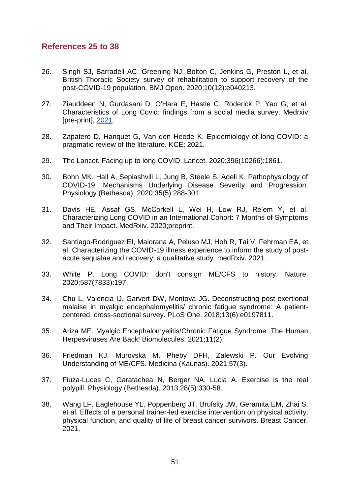### **References 25 to 38**

- 26. Singh SJ, Barradell AC, Greening NJ, Bolton C, Jenkins G, Preston L, et al. British Thoracic Society survey of rehabilitation to support recovery of the post-COVID-19 population. BMJ Open. 2020;10(12):e040213.
- 27. Ziauddeen N, Gurdasani D, O'Hara E, Hastie C, Roderick P, Yao G, et al. Characteristics of Long Covid: findings from a social media survey. Medrxiv [pre-print], [2021.](https://doiorg/101101/2021032121253968)
- 28. Zapatero D, Hanquet G, Van den Heede K. Epidemiology of long COVID: a pragmatic review of the literature. KCE; 2021.
- 29. The Lancet. Facing up to long COVID. Lancet. 2020;396(10266):1861.
- 30. Bohn MK, Hall A, Sepiashvili L, Jung B, Steele S, Adeli K. Pathophysiology of COVID-19: Mechanisms Underlying Disease Severity and Progression. Physiology (Bethesda). 2020;35(5):288-301.
- 31. Davis HE, Assaf GS, McCorkell L, Wei H, Low RJ, Re'em Y, et al. Characterizing Long COVID in an International Cohort: 7 Months of Symptoms and Their Impact. MedRxiv. 2020;preprint.
- 32. Santiago-Rodriguez EI, Maiorana A, Peluso MJ, Hoh R, Tai V, Fehrman EA, et al. Characterizing the COVID-19 illness experience to inform the study of postacute sequalae and recovery: a qualitative study. medRxiv. 2021.
- 33. White P. Long COVID: don't consign ME/CFS to history. Nature. 2020;587(7833):197.
- 34. Chu L, Valencia IJ, Garvert DW, Montoya JG. Deconstructing post-exertional malaise in myalgic encephalomyelitis/ chronic fatigue syndrome: A patientcentered, cross-sectional survey. PLoS One. 2018;13(6):e0197811.
- 35. Ariza ME. Myalgic Encephalomyelitis/Chronic Fatigue Syndrome: The Human Herpesviruses Are Back! Biomolecules. 2021;11(2).
- 36. Friedman KJ, Murovska M, Pheby DFH, Zalewski P. Our Evolving Understanding of ME/CFS. Medicina (Kaunas). 2021;57(3).
- 37. Fiuza-Luces C, Garatachea N, Berger NA, Lucia A. Exercise is the real polypill. Physiology (Bethesda). 2013;28(5):330-58.
- 38. Wang LF, Eaglehouse YL, Poppenberg JT, Brufsky JW, Geramita EM, Zhai S, et al. Effects of a personal trainer-led exercise intervention on physical activity, physical function, and quality of life of breast cancer survivors. Breast Cancer. 2021.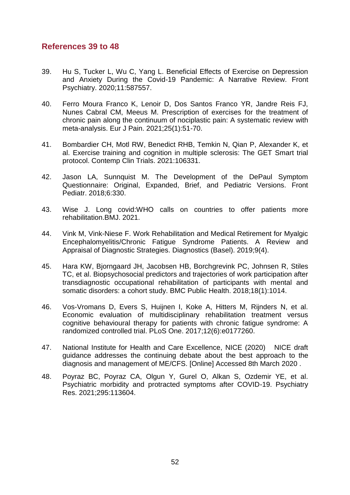### **References 39 to 48**

- 39. Hu S, Tucker L, Wu C, Yang L. Beneficial Effects of Exercise on Depression and Anxiety During the Covid-19 Pandemic: A Narrative Review. Front Psychiatry. 2020;11:587557.
- 40. Ferro Moura Franco K, Lenoir D, Dos Santos Franco YR, Jandre Reis FJ, Nunes Cabral CM, Meeus M. Prescription of exercises for the treatment of chronic pain along the continuum of nociplastic pain: A systematic review with meta-analysis. Eur J Pain. 2021;25(1):51-70.
- 41. Bombardier CH, Motl RW, Benedict RHB, Temkin N, Qian P, Alexander K, et al. Exercise training and cognition in multiple sclerosis: The GET Smart trial protocol. Contemp Clin Trials. 2021:106331.
- 42. Jason LA, Sunnquist M. The Development of the DePaul Symptom Questionnaire: Original, Expanded, Brief, and Pediatric Versions. Front Pediatr. 2018;6:330.
- 43. Wise J. Long covid:WHO calls on countries to offer patients more rehabilitation.BMJ. 2021.
- 44. Vink M, Vink-Niese F. Work Rehabilitation and Medical Retirement for Myalgic Encephalomyelitis/Chronic Fatigue Syndrome Patients. A Review and Appraisal of Diagnostic Strategies. Diagnostics (Basel). 2019;9(4).
- 45. Hara KW, Bjorngaard JH, Jacobsen HB, Borchgrevink PC, Johnsen R, Stiles TC, et al. Biopsychosocial predictors and trajectories of work participation after transdiagnostic occupational rehabilitation of participants with mental and somatic disorders: a cohort study. BMC Public Health. 2018;18(1):1014.
- 46. Vos-Vromans D, Evers S, Huijnen I, Koke A, Hitters M, Rijnders N, et al. Economic evaluation of multidisciplinary rehabilitation treatment versus cognitive behavioural therapy for patients with chronic fatigue syndrome: A randomized controlled trial. PLoS One. 2017;12(6):e0177260.
- 47. National Institute for Health and Care Excellence, NICE (2020) NICE draft guidance addresses the continuing debate about the best approach to the diagnosis and management of ME/CFS. [Online] Accessed 8th March 2020 .
- 48. Poyraz BC, Poyraz CA, Olgun Y, Gurel O, Alkan S, Ozdemir YE, et al. Psychiatric morbidity and protracted symptoms after COVID-19. Psychiatry Res. 2021;295:113604.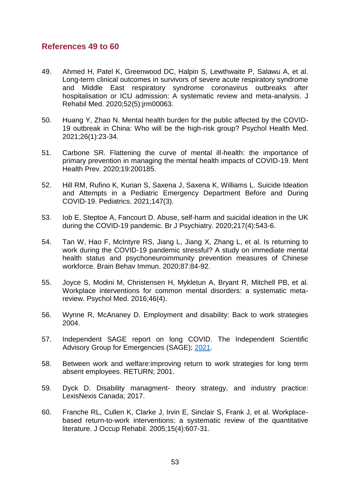### **References 49 to 60**

- 49. Ahmed H, Patel K, Greenwood DC, Halpin S, Lewthwaite P, Salawu A, et al. Long-term clinical outcomes in survivors of severe acute respiratory syndrome and Middle East respiratory syndrome coronavirus outbreaks after hospitalisation or ICU admission: A systematic review and meta-analysis. J Rehabil Med. 2020;52(5):jrm00063.
- 50. Huang Y, Zhao N. Mental health burden for the public affected by the COVID-19 outbreak in China: Who will be the high-risk group? Psychol Health Med. 2021;26(1):23-34.
- 51. Carbone SR. Flattening the curve of mental ill-health: the importance of primary prevention in managing the mental health impacts of COVID-19. Ment Health Prev. 2020;19:200185.
- 52. Hill RM, Rufino K, Kurian S, Saxena J, Saxena K, Williams L. Suicide Ideation and Attempts in a Pediatric Emergency Department Before and During COVID-19. Pediatrics. 2021;147(3).
- 53. Iob E, Steptoe A, Fancourt D. Abuse, self-harm and suicidal ideation in the UK during the COVID-19 pandemic. Br J Psychiatry. 2020;217(4):543-6.
- 54. Tan W, Hao F, McIntyre RS, Jiang L, Jiang X, Zhang L, et al. Is returning to work during the COVID-19 pandemic stressful? A study on immediate mental health status and psychoneuroimmunity prevention measures of Chinese workforce. Brain Behav Immun. 2020;87:84-92.
- 55. Joyce S, Modini M, Christensen H, Mykletun A, Bryant R, Mitchell PB, et al. Workplace interventions for common mental disorders: a systematic metareview. Psychol Med. 2016;46(4).
- 56. Wynne R, McAnaney D. Employment and disability: Back to work strategies 2004.
- 57. Independent SAGE report on long COVID. The Independent Scientific Advisory Group for Emergencies (SAGE); [2021.](https://www.independentsage.org/wp-content/uploads/2021/01/Long-COVID_FINAL.pdf)
- 58. Between work and welfare:improving return to work strategies for long term absent employees. RETURN; 2001.
- 59. Dyck D. Disability managment- theory strategy, and industry practice: LexisNexis Canada; 2017.
- 60. Franche RL, Cullen K, Clarke J, Irvin E, Sinclair S, Frank J, et al. Workplacebased return-to-work interventions: a systematic review of the quantitative literature. J Occup Rehabil. 2005;15(4):607-31.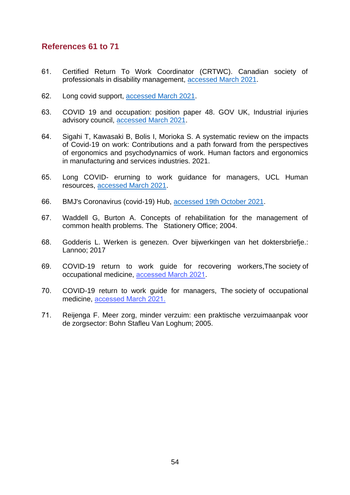### **References 61 to 71**

- 61. Certified Return To Work Coordinator (CRTWC). Canadian society of professionals in disability management, [accessed March 2021.](https://www.cspdm.ca/professionals/crtwc/)
- 62. Long covid support[, accessed March 2021.](https://www.longcovid.org/impact/long-covid-is-policy-reaching-patients)
- 63. COVID 19 and occupation: position paper 48. GOV UK, Industrial injuries advisory council, [accessed March 2021.](https://www.gov.uk/government/publications/covid-19-and-occupation-iiac-position-paper-48/covid-19-and-occupation-position-paper-48)
- 64. Sigahi T, Kawasaki B, Bolis I, Morioka S. A systematic review on the impacts of Covid‐19 on work: Contributions and a path forward from the perspectives of ergonomics and psychodynamics of work. Human factors and ergonomics in manufacturing and services industries. 2021.
- 65. Long COVID- erurning to work guidance for managers, UCL Human resources, [accessed March 2021.](https://www.ucl.ac.uk/human-resources/health-wellbeing/workplace-health/what-we-do)
- 66. BMJ's Coronavirus (covid-19) Hub, [accessed 19th October 2021.](https://www.bmj.com/coronavirus)
- 67. Waddell G, Burton A. Concepts of rehabilitation for the management of common health problems. The Stationery Office; 2004.
- 68. Godderis L. Werken is genezen. Over bijwerkingen van het doktersbriefje.: Lannoo; 2017
- 69. COVID-19 return to work guide for recovering workers,The society of occupational medicine, [accessed March 2021](https://www.som.org.uk/COVID-19_return_to_work_guide_for_recovering_workers.pdf).
- 70. COVID-19 return to work guide for managers, The society of occupational medicine, [accessed March 2021](https://www.som.org.uk/COVID-19_return_to_work_guide_for_managers.pdf)[.](https://www.som.org.uk/COVID-19_return_to_work_guide_for_managers.pdf%5d2021)
- 71. Reijenga F. Meer zorg, minder verzuim: een praktische verzuimaanpak voor de zorgsector: Bohn Stafleu Van Loghum; 2005.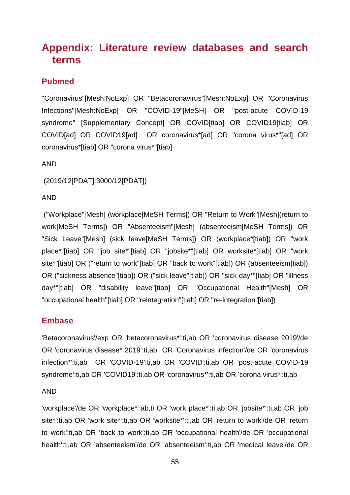# <span id="page-54-0"></span>**Appendix: Literature review databases and search terms**

### **Pubmed**

"Coronavirus"[Mesh:NoExp] OR "Betacoronavirus"[Mesh:NoExp] OR "Coronavirus Infections"[Mesh:NoExp] OR "COVID-19"[MeSH] OR "post-acute COVID-19 syndrome" [Supplementary Concept] OR COVID[tiab] OR COVID19[tiab] OR COVID[ad] OR COVID19[ad] OR coronavirus\*[ad] OR "corona virus\*"[ad] OR coronavirus\*[tiab] OR "corona virus\*"[tiab]

#### AND

(2019/12[PDAT]:3000/12[PDAT])

### AND

("Workplace"[Mesh] (workplace[MeSH Terms]) OR "Return to Work"[Mesh](return to work[MeSH Terms]) OR "Absenteeism"[Mesh] (absenteeism[MeSH Terms]) OR "Sick Leave"[Mesh] (sick leave[MeSH Terms]) OR (workplace\*[tiab]) OR "work place\*"[tiab] OR "job site\*"[tiab] OR "jobsite\*"[tiab] OR worksite\*[tiab] OR "work site\*"[tiab] OR ("return to work"[tiab] OR "back to work"[tiab]) OR (absenteeism[tiab]) OR ("sickness absence"[tiab]) OR ("sick leave"[tiab]) OR "sick day\*"[tiab] OR "illness day\*"[tiab] OR "disability leave"[tiab] OR "Occupational Health"[Mesh] OR "occupational health"[tiab] OR "reintegration"[tiab] OR "re-integration"[tiab])

### **Embase**

'Betacoronavirus'/exp OR 'betacoronavirus\*':ti,ab OR 'coronavirus disease 2019'/de OR 'coronavirus disease\* 2019':ti,ab OR 'Coronavirus infection'/de OR 'coronavirus infection\*':ti,ab OR 'COVID-19':ti,ab OR 'COVID':ti,ab OR 'post-acute COVID-19 syndrome':ti,ab OR 'COVID19':ti,ab OR 'coronavirus\*':ti,ab OR 'corona virus\*':ti,ab

#### AND

'workplace'/de OR 'workplace\*':ab,ti OR 'work place\*':ti,ab OR 'jobsite\*':ti,ab OR 'job site\*':ti,ab OR 'work site\*':ti,ab OR 'worksite\*':ti,ab OR 'return to work'/de OR 'return to work':ti,ab OR 'back to work':ti,ab OR 'occupational health'/de OR 'occupational health':ti,ab OR 'absenteeism'/de OR 'absenteeism':ti,ab OR 'medical leave'/de OR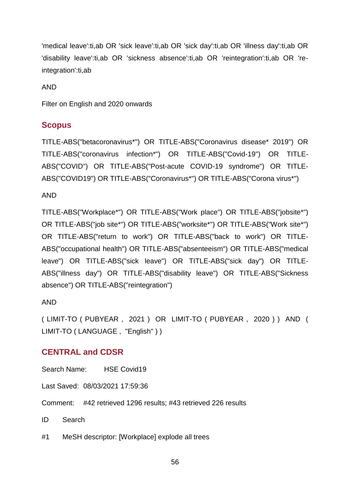'medical leave':ti,ab OR 'sick leave':ti,ab OR 'sick day':ti,ab OR 'illness day':ti,ab OR 'disability leave':ti,ab OR 'sickness absence':ti,ab OR 'reintegration':ti,ab OR 'reintegration':ti,ab

AND

Filter on English and 2020 onwards

### **Scopus**

TITLE-ABS("betacoronavirus\*") OR TITLE-ABS("Coronavirus disease\* 2019") OR TITLE-ABS("coronavirus infection\*") OR TITLE-ABS("Covid-19") OR TITLE-ABS("COVID") OR TITLE-ABS("Post-acute COVID-19 syndrome") OR TITLE-ABS("COVID19") OR TITLE-ABS("Coronavirus\*") OR TITLE-ABS("Corona virus\*")

AND

TITLE-ABS("Workplace\*") OR TITLE-ABS("Work place") OR TITLE-ABS("jobsite\*") OR TITLE-ABS("job site\*") OR TITLE-ABS("worksite\*") OR TITLE-ABS("Work site\*") OR TITLE-ABS("return to work") OR TITLE-ABS("back to work") OR TITLE-ABS("occupational health") OR TITLE-ABS("absenteeism") OR TITLE-ABS("medical leave") OR TITLE-ABS("sick leave") OR TITLE-ABS("sick day") OR TITLE-ABS("illness day") OR TITLE-ABS("disability leave") OR TITLE-ABS("Sickness absence") OR TITLE-ABS("reintegration")

### AND

( LIMIT-TO ( PUBYEAR , 2021 ) OR LIMIT-TO ( PUBYEAR , 2020 ) ) AND ( LIMIT-TO ( LANGUAGE , "English" ) )

### **CENTRAL and CDSR**

Search Name: HSE Covid19

Last Saved: 08/03/2021 17:59:36

Comment: #42 retrieved 1296 results; #43 retrieved 226 results

ID Search

#1 MeSH descriptor: [Workplace] explode all trees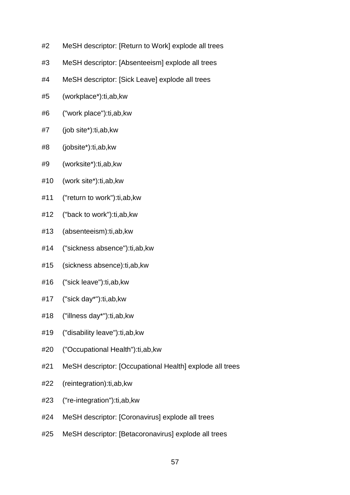- #2 MeSH descriptor: [Return to Work] explode all trees
- #3 MeSH descriptor: [Absenteeism] explode all trees
- #4 MeSH descriptor: [Sick Leave] explode all trees
- #5 (workplace\*):ti,ab,kw
- #6 ("work place"):ti,ab,kw
- #7 (job site\*):ti,ab,kw
- #8 (jobsite\*):ti,ab,kw
- #9 (worksite\*):ti,ab,kw
- #10 (work site\*):ti,ab,kw
- #11 ("return to work"):ti,ab,kw
- #12 ("back to work"):ti,ab,kw
- #13 (absenteeism):ti,ab,kw
- #14 ("sickness absence"):ti,ab,kw
- #15 (sickness absence):ti,ab,kw
- #16 ("sick leave"):ti,ab,kw
- #17 ("sick day\*"):ti,ab,kw
- #18 ("illness day\*"):ti,ab,kw
- #19 ("disability leave"):ti,ab,kw
- #20 ("Occupational Health"):ti,ab,kw
- #21 MeSH descriptor: [Occupational Health] explode all trees
- #22 (reintegration):ti,ab,kw
- #23 ("re-integration"):ti,ab,kw
- #24 MeSH descriptor: [Coronavirus] explode all trees
- #25 MeSH descriptor: [Betacoronavirus] explode all trees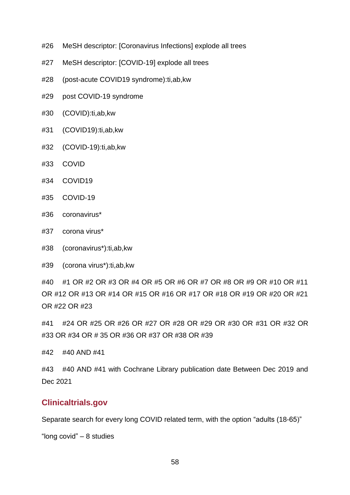- #26 MeSH descriptor: [Coronavirus Infections] explode all trees
- #27 MeSH descriptor: [COVID-19] explode all trees
- #28 (post-acute COVID19 syndrome):ti,ab,kw
- #29 post COVID-19 syndrome
- #30 (COVID):ti,ab,kw
- #31 (COVID19):ti,ab,kw
- #32 (COVID-19):ti,ab,kw
- #33 COVID
- #34 COVID19
- #35 COVID-19
- #36 coronavirus\*
- #37 corona virus\*
- #38 (coronavirus\*):ti,ab,kw
- #39 (corona virus\*):ti,ab,kw

#40 #1 OR #2 OR #3 OR #4 OR #5 OR #6 OR #7 OR #8 OR #9 OR #10 OR #11 OR #12 OR #13 OR #14 OR #15 OR #16 OR #17 OR #18 OR #19 OR #20 OR #21 OR #22 OR #23

#41 #24 OR #25 OR #26 OR #27 OR #28 OR #29 OR #30 OR #31 OR #32 OR #33 OR #34 OR # 35 OR #36 OR #37 OR #38 OR #39

#42 #40 AND #41

#43 #40 AND #41 with Cochrane Library publication date Between Dec 2019 and Dec 2021

### **Clinicaltrials.gov**

Separate search for every long COVID related term, with the option "adults (18-65)"

"long covid" – 8 studies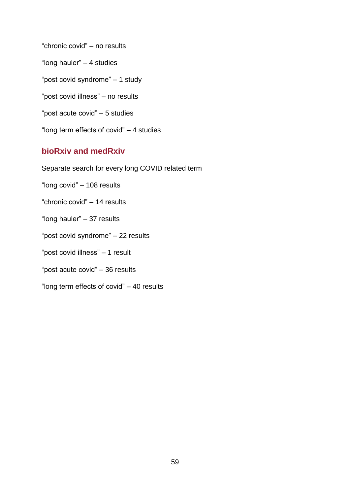"chronic covid" – no results

"long hauler" – 4 studies

"post covid syndrome" – 1 study

"post covid illness" – no results

"post acute covid" – 5 studies

"long term effects of covid" – 4 studies

### **bioRxiv and medRxiv**

Separate search for every long COVID related term

"long covid" – 108 results

"chronic covid" – 14 results

"long hauler" – 37 results

"post covid syndrome" – 22 results

"post covid illness" – 1 result

"post acute covid" – 36 results

"long term effects of covid" – 40 results